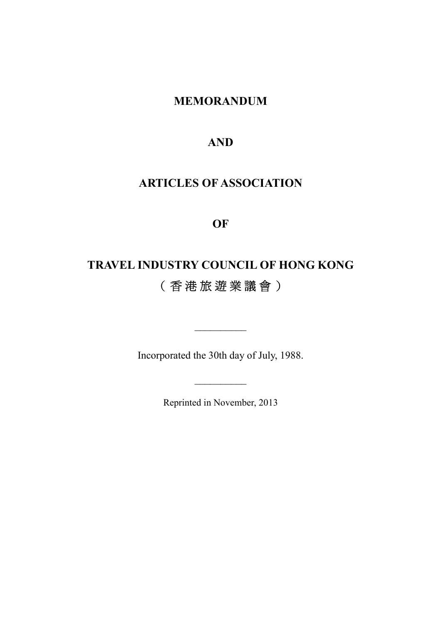# MEMORANDUM

# AND

# ARTICLES OF ASSOCIATION

### OF

# TRAVEL INDUSTRY COUNCIL OF HONG KONG ( 香 港 旅 遊 業 議 會 )

Incorporated the 30th day of July, 1988.

\_\_\_\_\_\_\_\_\_\_

Reprinted in November, 2013

 $\frac{1}{2}$  ,  $\frac{1}{2}$  ,  $\frac{1}{2}$  ,  $\frac{1}{2}$  ,  $\frac{1}{2}$  ,  $\frac{1}{2}$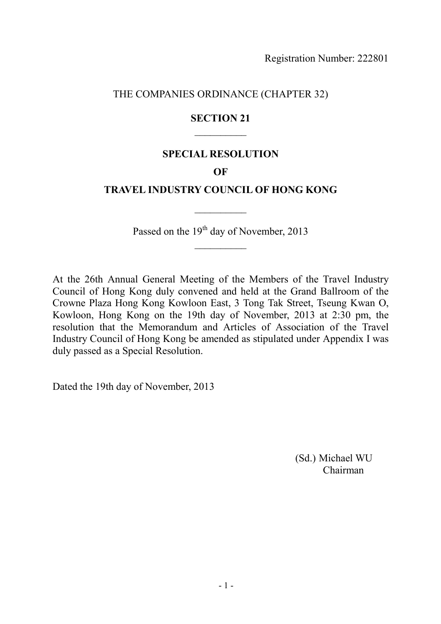THE COMPANIES ORDINANCE (CHAPTER 32)

### SECTION 21  $\frac{1}{2}$

### SPECIAL RESOLUTION

#### OF

### TRAVEL INDUSTRY COUNCIL OF HONG KONG

 $\frac{1}{2}$ 

Passed on the 19<sup>th</sup> day of November, 2013  $\frac{1}{2}$ 

At the 26th Annual General Meeting of the Members of the Travel Industry Council of Hong Kong duly convened and held at the Grand Ballroom of the Crowne Plaza Hong Kong Kowloon East, 3 Tong Tak Street, Tseung Kwan O, Kowloon, Hong Kong on the 19th day of November, 2013 at 2:30 pm, the resolution that the Memorandum and Articles of Association of the Travel Industry Council of Hong Kong be amended as stipulated under Appendix I was duly passed as a Special Resolution.

Dated the 19th day of November, 2013

(Sd.) Michael WU Chairman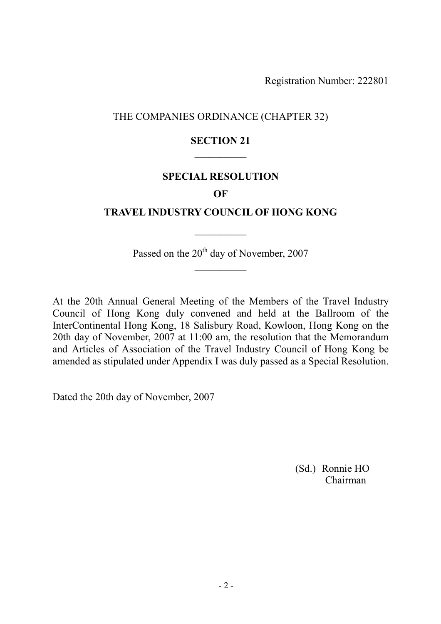### THE COMPANIES ORDINANCE (CHAPTER 32)

### SECTION 21  $\overline{\phantom{a}}$

### SPECIAL RESOLUTION

#### **OF**

### TRAVEL INDUSTRY COUNCIL OF HONG KONG

 $\frac{1}{2}$ 

Passed on the 20<sup>th</sup> day of November, 2007  $\frac{1}{2}$ 

At the 20th Annual General Meeting of the Members of the Travel Industry Council of Hong Kong duly convened and held at the Ballroom of the InterContinental Hong Kong, 18 Salisbury Road, Kowloon, Hong Kong on the 20th day of November, 2007 at 11:00 am, the resolution that the Memorandum and Articles of Association of the Travel Industry Council of Hong Kong be amended as stipulated under Appendix I was duly passed as a Special Resolution.

Dated the 20th day of November, 2007

(Sd.) Ronnie HO Chairman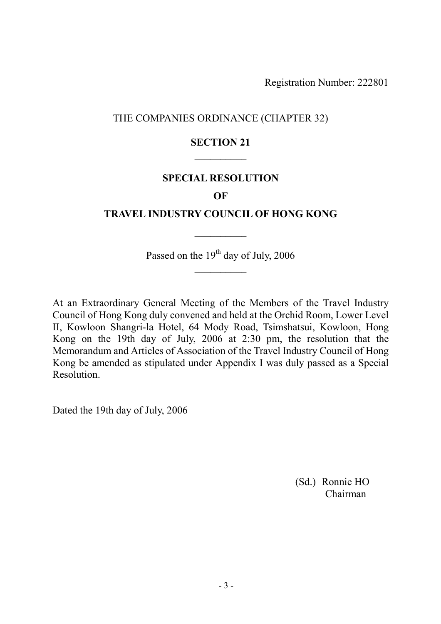### THE COMPANIES ORDINANCE (CHAPTER 32)

### SECTION 21  $\frac{1}{2}$

#### SPECIAL RESOLUTION

#### **OF**

#### TRAVEL INDUSTRY COUNCIL OF HONG KONG

 $\frac{1}{2}$ 

Passed on the 19<sup>th</sup> day of July, 2006  $\frac{1}{2}$ 

At an Extraordinary General Meeting of the Members of the Travel Industry Council of Hong Kong duly convened and held at the Orchid Room, Lower Level II, Kowloon Shangri-la Hotel, 64 Mody Road, Tsimshatsui, Kowloon, Hong Kong on the 19th day of July, 2006 at 2:30 pm, the resolution that the Memorandum and Articles of Association of the Travel Industry Council of Hong Kong be amended as stipulated under Appendix I was duly passed as a Special Resolution.

Dated the 19th day of July, 2006

(Sd.) Ronnie HO Chairman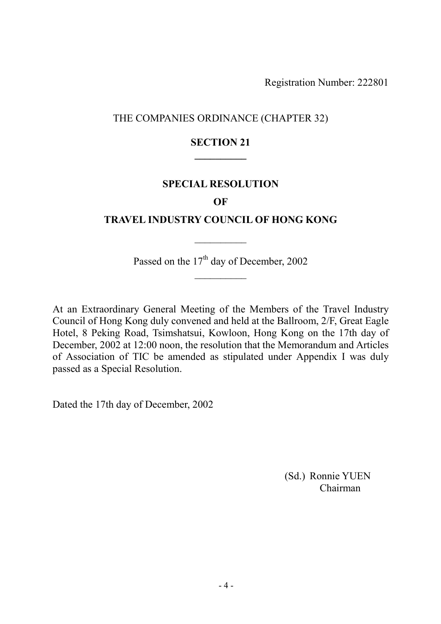### THE COMPANIES ORDINANCE (CHAPTER 32)

### SECTION 21  $\overline{\phantom{a}}$

#### SPECIAL RESOLUTION

#### OF

#### TRAVEL INDUSTRY COUNCIL OF HONG KONG

 $\frac{1}{2}$ 

Passed on the 17<sup>th</sup> day of December, 2002  $\frac{1}{2}$ 

At an Extraordinary General Meeting of the Members of the Travel Industry Council of Hong Kong duly convened and held at the Ballroom, 2/F, Great Eagle Hotel, 8 Peking Road, Tsimshatsui, Kowloon, Hong Kong on the 17th day of December, 2002 at 12:00 noon, the resolution that the Memorandum and Articles of Association of TIC be amended as stipulated under Appendix I was duly passed as a Special Resolution.

Dated the 17th day of December, 2002

(Sd.) Ronnie YUEN Chairman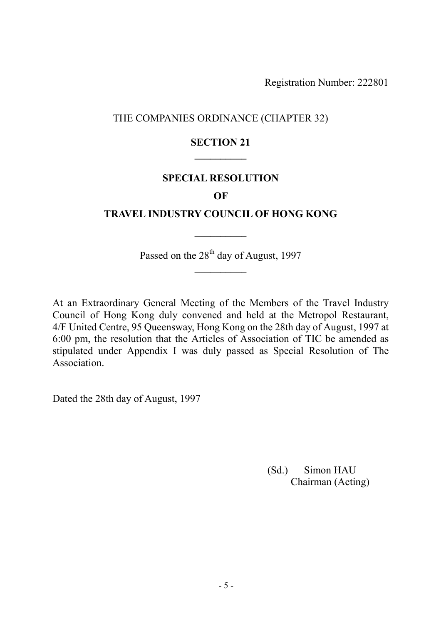### THE COMPANIES ORDINANCE (CHAPTER 32)

### SECTION 21  $\overline{\phantom{a}}$

#### SPECIAL RESOLUTION

#### **OF**

#### TRAVEL INDUSTRY COUNCIL OF HONG KONG

 $\frac{1}{2}$ 

Passed on the 28<sup>th</sup> day of August, 1997  $\frac{1}{2}$ 

At an Extraordinary General Meeting of the Members of the Travel Industry Council of Hong Kong duly convened and held at the Metropol Restaurant, 4/F United Centre, 95 Queensway, Hong Kong on the 28th day of August, 1997 at 6:00 pm, the resolution that the Articles of Association of TIC be amended as stipulated under Appendix I was duly passed as Special Resolution of The Association.

Dated the 28th day of August, 1997

(Sd.) Simon HAU Chairman (Acting)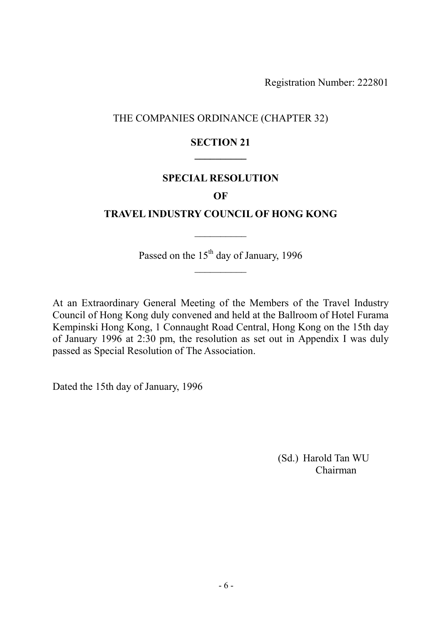### THE COMPANIES ORDINANCE (CHAPTER 32)

### SECTION 21  $\overline{\phantom{a}}$

#### SPECIAL RESOLUTION

#### **OF**

### TRAVEL INDUSTRY COUNCIL OF HONG KONG

 $\frac{1}{2}$ 

Passed on the 15<sup>th</sup> day of January, 1996  $\frac{1}{2}$ 

At an Extraordinary General Meeting of the Members of the Travel Industry Council of Hong Kong duly convened and held at the Ballroom of Hotel Furama Kempinski Hong Kong, 1 Connaught Road Central, Hong Kong on the 15th day of January 1996 at 2:30 pm, the resolution as set out in Appendix I was duly passed as Special Resolution of The Association.

Dated the 15th day of January, 1996

(Sd.) Harold Tan WU Chairman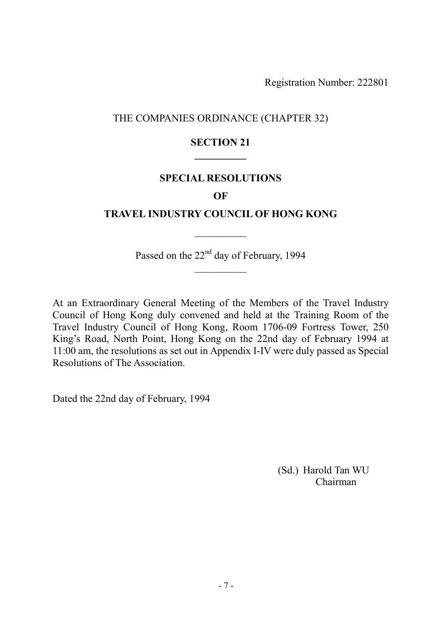### THE COMPANIES ORDINANCE (CHAPTER 32)

### SECTION 21  $\overline{\phantom{a}}$

#### SPECIAL RESOLUTIONS

#### **OF**

#### TRAVEL INDUSTRY COUNCIL OF HONG KONG

 $\frac{1}{2}$ 

Passed on the 22<sup>nd</sup> day of February, 1994  $\frac{1}{2}$ 

At an Extraordinary General Meeting of the Members of the Travel Industry Council of Hong Kong duly convened and held at the Training Room of the Travel Industry Council of Hong Kong, Room 1706-09 Fortress Tower, 250 King's Road, North Point, Hong Kong on the 22nd day of February 1994 at 11:00 am, the resolutions as set out in Appendix I-IV were duly passed as Special Resolutions of The Association.

Dated the 22nd day of February, 1994

(Sd.) Harold Tan WU Chairman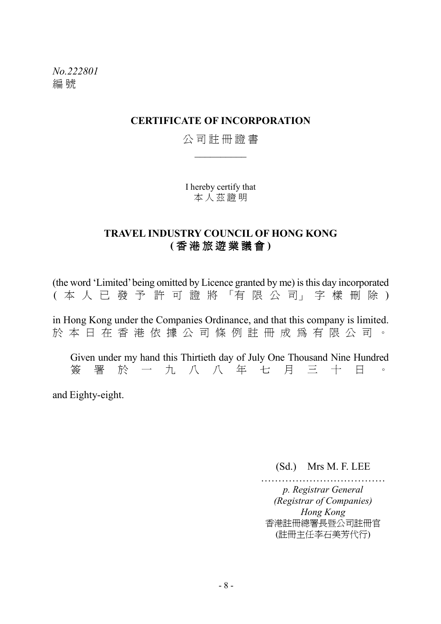No.222801 編 號

#### CERTIFICATE OF INCORPORATION

### 公 司 註 冊 證 書  $\overline{\phantom{a}}$

I hereby certify that 本人茲證明

### TRAVEL INDUSTRY COUNCIL OF HONG KONG ( 香 港 旅 遊 業 議 會 )

(the word 'Limited' being omitted by Licence granted by me) is this day incorporated ( 本 人 已 發 予 許 可 證 將 「有 限 公 司」 字 樣 刪 除 ) in Hong Kong under the Companies Ordinance, and that this company is limited. 於 本 日 在 香 港 依 據 公 司 條 例 註 冊 成 為 有 限 公 司 。 Given under my hand this Thirtieth day of July One Thousand Nine Hundred 簽 署 於 一 九 八 八 年 七 月 三 十 日 。 and Eighty-eight.

(Sd.) Mrs M. F. LEE

……………………………… p. Registrar General (Registrar of Companies) Hong Kong 香港註冊總署長暨公司註冊官 (註冊主任李石美芳代行)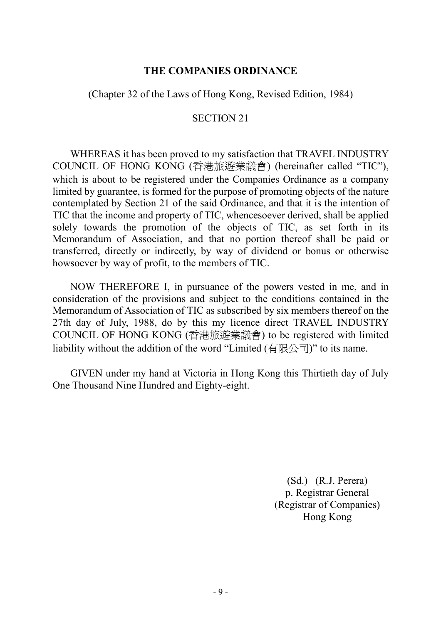#### THE COMPANIES ORDINANCE

(Chapter 32 of the Laws of Hong Kong, Revised Edition, 1984)

#### SECTION 21

WHEREAS it has been proved to my satisfaction that TRAVEL INDUSTRY COUNCIL OF HONG KONG (香港旅遊業議會) (hereinafter called "TIC"), which is about to be registered under the Companies Ordinance as a company limited by guarantee, is formed for the purpose of promoting objects of the nature contemplated by Section 21 of the said Ordinance, and that it is the intention of TIC that the income and property of TIC, whencesoever derived, shall be applied solely towards the promotion of the objects of TIC, as set forth in its Memorandum of Association, and that no portion thereof shall be paid or transferred, directly or indirectly, by way of dividend or bonus or otherwise howsoever by way of profit, to the members of TIC.

NOW THEREFORE I, in pursuance of the powers vested in me, and in consideration of the provisions and subject to the conditions contained in the Memorandum of Association of TIC as subscribed by six members thereof on the 27th day of July, 1988, do by this my licence direct TRAVEL INDUSTRY COUNCIL OF HONG KONG (香港旅遊業議會) to be registered with limited liability without the addition of the word "Limited (有限公司)" to its name.

GIVEN under my hand at Victoria in Hong Kong this Thirtieth day of July One Thousand Nine Hundred and Eighty-eight.

> (Sd.) (R.J. Perera) p. Registrar General (Registrar of Companies) Hong Kong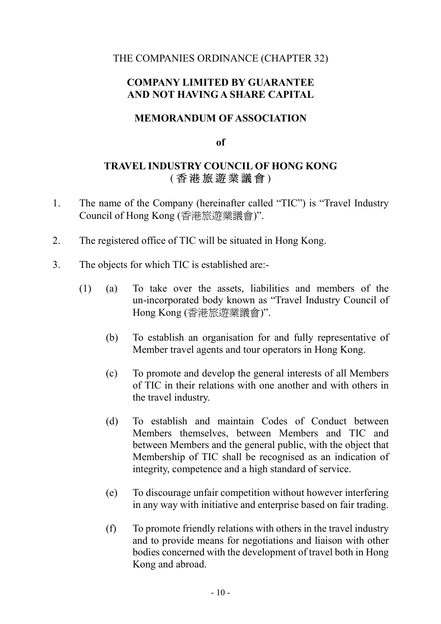### THE COMPANIES ORDINANCE (CHAPTER 32)

### COMPANY LIMITED BY GUARANTEE AND NOT HAVING A SHARE CAPITAL

### MEMORANDUM OF ASSOCIATION

of

# TRAVEL INDUSTRY COUNCIL OF HONG KONG ( 香 港 旅 遊 業 議 會 )

- 1. The name of the Company (hereinafter called "TIC") is "Travel Industry Council of Hong Kong (香港旅遊業議會)".
- 2. The registered office of TIC will be situated in Hong Kong.
- 3. The objects for which TIC is established are:-
	- (1) (a) To take over the assets, liabilities and members of the un-incorporated body known as "Travel Industry Council of Hong Kong (香港旅遊業議會)".
		- (b) To establish an organisation for and fully representative of Member travel agents and tour operators in Hong Kong.
		- (c) To promote and develop the general interests of all Members of TIC in their relations with one another and with others in the travel industry.
		- (d) To establish and maintain Codes of Conduct between Members themselves, between Members and TIC and between Members and the general public, with the object that Membership of TIC shall be recognised as an indication of integrity, competence and a high standard of service.
		- (e) To discourage unfair competition without however interfering in any way with initiative and enterprise based on fair trading.
		- (f) To promote friendly relations with others in the travel industry and to provide means for negotiations and liaison with other bodies concerned with the development of travel both in Hong Kong and abroad.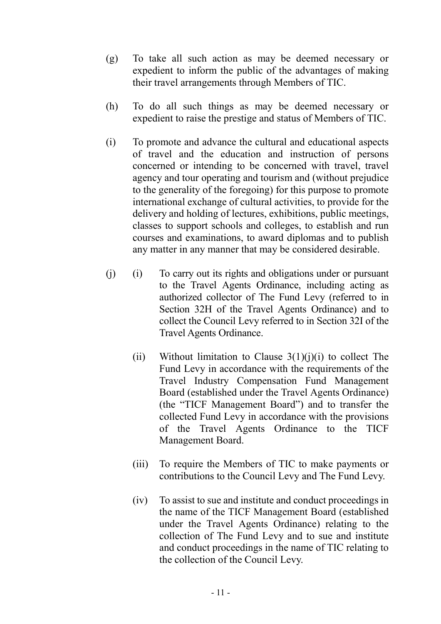- (g) To take all such action as may be deemed necessary or expedient to inform the public of the advantages of making their travel arrangements through Members of TIC.
- (h) To do all such things as may be deemed necessary or expedient to raise the prestige and status of Members of TIC.
- (i) To promote and advance the cultural and educational aspects of travel and the education and instruction of persons concerned or intending to be concerned with travel, travel agency and tour operating and tourism and (without prejudice to the generality of the foregoing) for this purpose to promote international exchange of cultural activities, to provide for the delivery and holding of lectures, exhibitions, public meetings, classes to support schools and colleges, to establish and run courses and examinations, to award diplomas and to publish any matter in any manner that may be considered desirable.
- (j) (i) To carry out its rights and obligations under or pursuant to the Travel Agents Ordinance, including acting as authorized collector of The Fund Levy (referred to in Section 32H of the Travel Agents Ordinance) and to collect the Council Levy referred to in Section 32I of the Travel Agents Ordinance.
	- (ii) Without limitation to Clause  $3(1)(i)(i)$  to collect The Fund Levy in accordance with the requirements of the Travel Industry Compensation Fund Management Board (established under the Travel Agents Ordinance) (the "TICF Management Board") and to transfer the collected Fund Levy in accordance with the provisions of the Travel Agents Ordinance to the TICF Management Board.
	- (iii) To require the Members of TIC to make payments or contributions to the Council Levy and The Fund Levy.
	- (iv) To assist to sue and institute and conduct proceedings in the name of the TICF Management Board (established under the Travel Agents Ordinance) relating to the collection of The Fund Levy and to sue and institute and conduct proceedings in the name of TIC relating to the collection of the Council Levy.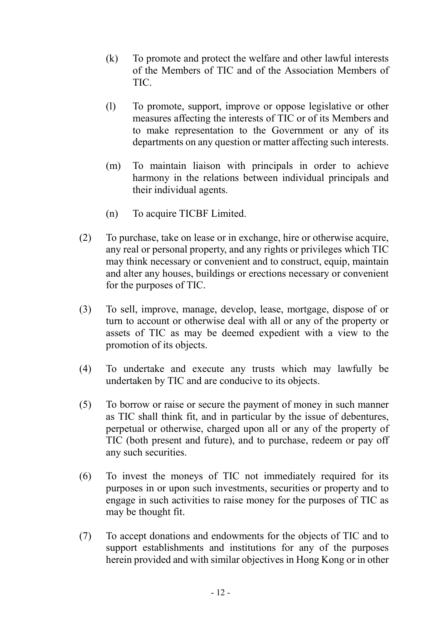- (k) To promote and protect the welfare and other lawful interests of the Members of TIC and of the Association Members of TIC.
- (l) To promote, support, improve or oppose legislative or other measures affecting the interests of TIC or of its Members and to make representation to the Government or any of its departments on any question or matter affecting such interests.
- (m) To maintain liaison with principals in order to achieve harmony in the relations between individual principals and their individual agents.
- (n) To acquire TICBF Limited.
- (2) To purchase, take on lease or in exchange, hire or otherwise acquire, any real or personal property, and any rights or privileges which TIC may think necessary or convenient and to construct, equip, maintain and alter any houses, buildings or erections necessary or convenient for the purposes of TIC.
- (3) To sell, improve, manage, develop, lease, mortgage, dispose of or turn to account or otherwise deal with all or any of the property or assets of TIC as may be deemed expedient with a view to the promotion of its objects.
- (4) To undertake and execute any trusts which may lawfully be undertaken by TIC and are conducive to its objects.
- (5) To borrow or raise or secure the payment of money in such manner as TIC shall think fit, and in particular by the issue of debentures, perpetual or otherwise, charged upon all or any of the property of TIC (both present and future), and to purchase, redeem or pay off any such securities.
- (6) To invest the moneys of TIC not immediately required for its purposes in or upon such investments, securities or property and to engage in such activities to raise money for the purposes of TIC as may be thought fit.
- (7) To accept donations and endowments for the objects of TIC and to support establishments and institutions for any of the purposes herein provided and with similar objectives in Hong Kong or in other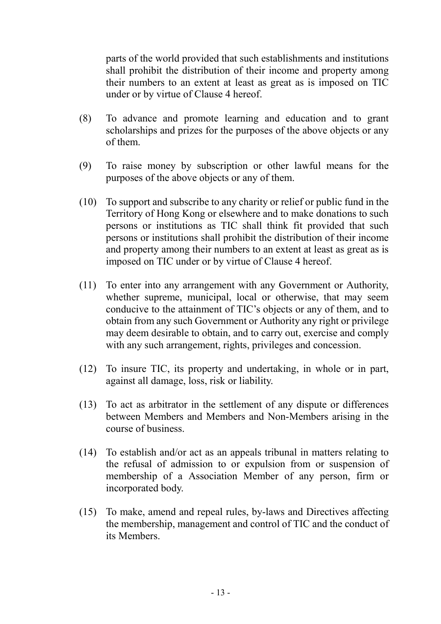parts of the world provided that such establishments and institutions shall prohibit the distribution of their income and property among their numbers to an extent at least as great as is imposed on TIC under or by virtue of Clause 4 hereof.

- (8) To advance and promote learning and education and to grant scholarships and prizes for the purposes of the above objects or any of them.
- (9) To raise money by subscription or other lawful means for the purposes of the above objects or any of them.
- (10) To support and subscribe to any charity or relief or public fund in the Territory of Hong Kong or elsewhere and to make donations to such persons or institutions as TIC shall think fit provided that such persons or institutions shall prohibit the distribution of their income and property among their numbers to an extent at least as great as is imposed on TIC under or by virtue of Clause 4 hereof.
- (11) To enter into any arrangement with any Government or Authority, whether supreme, municipal, local or otherwise, that may seem conducive to the attainment of TIC's objects or any of them, and to obtain from any such Government or Authority any right or privilege may deem desirable to obtain, and to carry out, exercise and comply with any such arrangement, rights, privileges and concession.
- (12) To insure TIC, its property and undertaking, in whole or in part, against all damage, loss, risk or liability.
- (13) To act as arbitrator in the settlement of any dispute or differences between Members and Members and Non-Members arising in the course of business.
- (14) To establish and/or act as an appeals tribunal in matters relating to the refusal of admission to or expulsion from or suspension of membership of a Association Member of any person, firm or incorporated body.
- (15) To make, amend and repeal rules, by-laws and Directives affecting the membership, management and control of TIC and the conduct of its Members.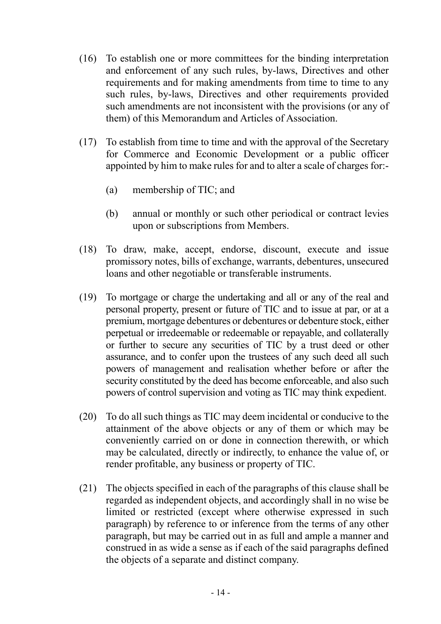- (16) To establish one or more committees for the binding interpretation and enforcement of any such rules, by-laws, Directives and other requirements and for making amendments from time to time to any such rules, by-laws, Directives and other requirements provided such amendments are not inconsistent with the provisions (or any of them) of this Memorandum and Articles of Association.
- (17) To establish from time to time and with the approval of the Secretary for Commerce and Economic Development or a public officer appointed by him to make rules for and to alter a scale of charges for:-
	- (a) membership of TIC; and
	- (b) annual or monthly or such other periodical or contract levies upon or subscriptions from Members.
- (18) To draw, make, accept, endorse, discount, execute and issue promissory notes, bills of exchange, warrants, debentures, unsecured loans and other negotiable or transferable instruments.
- (19) To mortgage or charge the undertaking and all or any of the real and personal property, present or future of TIC and to issue at par, or at a premium, mortgage debentures or debentures or debenture stock, either perpetual or irredeemable or redeemable or repayable, and collaterally or further to secure any securities of TIC by a trust deed or other assurance, and to confer upon the trustees of any such deed all such powers of management and realisation whether before or after the security constituted by the deed has become enforceable, and also such powers of control supervision and voting as TIC may think expedient.
- (20) To do all such things as TIC may deem incidental or conducive to the attainment of the above objects or any of them or which may be conveniently carried on or done in connection therewith, or which may be calculated, directly or indirectly, to enhance the value of, or render profitable, any business or property of TIC.
- (21) The objects specified in each of the paragraphs of this clause shall be regarded as independent objects, and accordingly shall in no wise be limited or restricted (except where otherwise expressed in such paragraph) by reference to or inference from the terms of any other paragraph, but may be carried out in as full and ample a manner and construed in as wide a sense as if each of the said paragraphs defined the objects of a separate and distinct company.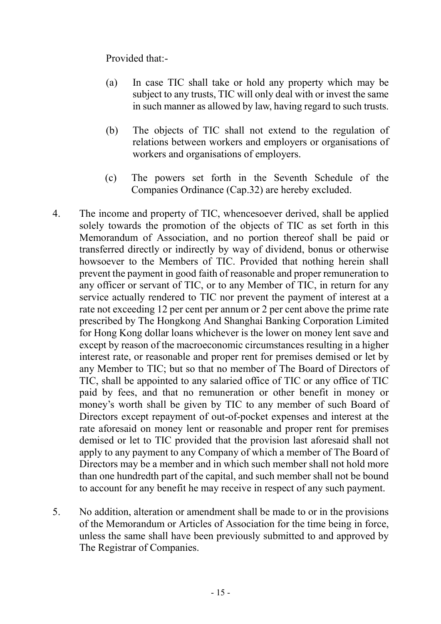Provided that:-

- (a) In case TIC shall take or hold any property which may be subject to any trusts, TIC will only deal with or invest the same in such manner as allowed by law, having regard to such trusts.
- (b) The objects of TIC shall not extend to the regulation of relations between workers and employers or organisations of workers and organisations of employers.
- (c) The powers set forth in the Seventh Schedule of the Companies Ordinance (Cap.32) are hereby excluded.
- 4. The income and property of TIC, whencesoever derived, shall be applied solely towards the promotion of the objects of TIC as set forth in this Memorandum of Association, and no portion thereof shall be paid or transferred directly or indirectly by way of dividend, bonus or otherwise howsoever to the Members of TIC. Provided that nothing herein shall prevent the payment in good faith of reasonable and proper remuneration to any officer or servant of TIC, or to any Member of TIC, in return for any service actually rendered to TIC nor prevent the payment of interest at a rate not exceeding 12 per cent per annum or 2 per cent above the prime rate prescribed by The Hongkong And Shanghai Banking Corporation Limited for Hong Kong dollar loans whichever is the lower on money lent save and except by reason of the macroeconomic circumstances resulting in a higher interest rate, or reasonable and proper rent for premises demised or let by any Member to TIC; but so that no member of The Board of Directors of TIC, shall be appointed to any salaried office of TIC or any office of TIC paid by fees, and that no remuneration or other benefit in money or money's worth shall be given by TIC to any member of such Board of Directors except repayment of out-of-pocket expenses and interest at the rate aforesaid on money lent or reasonable and proper rent for premises demised or let to TIC provided that the provision last aforesaid shall not apply to any payment to any Company of which a member of The Board of Directors may be a member and in which such member shall not hold more than one hundredth part of the capital, and such member shall not be bound to account for any benefit he may receive in respect of any such payment.
- 5. No addition, alteration or amendment shall be made to or in the provisions of the Memorandum or Articles of Association for the time being in force, unless the same shall have been previously submitted to and approved by The Registrar of Companies.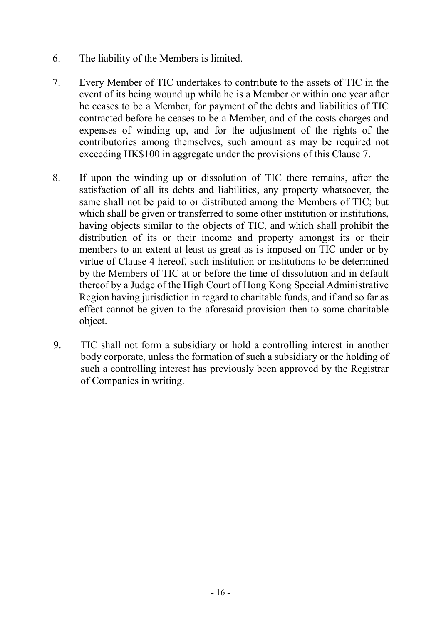- 6. The liability of the Members is limited.
- 7. Every Member of TIC undertakes to contribute to the assets of TIC in the event of its being wound up while he is a Member or within one year after he ceases to be a Member, for payment of the debts and liabilities of TIC contracted before he ceases to be a Member, and of the costs charges and expenses of winding up, and for the adjustment of the rights of the contributories among themselves, such amount as may be required not exceeding HK\$100 in aggregate under the provisions of this Clause 7.
- 8. If upon the winding up or dissolution of TIC there remains, after the satisfaction of all its debts and liabilities, any property whatsoever, the same shall not be paid to or distributed among the Members of TIC; but which shall be given or transferred to some other institution or institutions, having objects similar to the objects of TIC, and which shall prohibit the distribution of its or their income and property amongst its or their members to an extent at least as great as is imposed on TIC under or by virtue of Clause 4 hereof, such institution or institutions to be determined by the Members of TIC at or before the time of dissolution and in default thereof by a Judge of the High Court of Hong Kong Special Administrative Region having jurisdiction in regard to charitable funds, and if and so far as effect cannot be given to the aforesaid provision then to some charitable object.
- 9. TIC shall not form a subsidiary or hold a controlling interest in another body corporate, unless the formation of such a subsidiary or the holding of such a controlling interest has previously been approved by the Registrar of Companies in writing.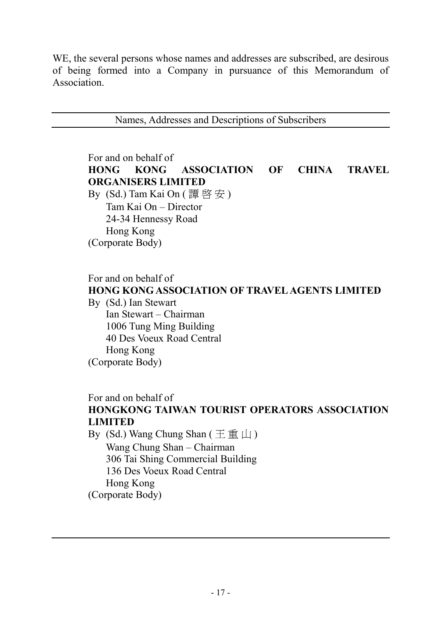WE, the several persons whose names and addresses are subscribed, are desirous of being formed into a Company in pursuance of this Memorandum of Association.

Names, Addresses and Descriptions of Subscribers

For and on behalf of HONG KONG ASSOCIATION OF CHINA TRAVEL ORGANISERS LIMITED By  $(Sd.)$  Tam Kai On  $(\overline{\mathbb{F}} \mathbb{F} \mathbb{F} \mathbb{F})$  Tam Kai On – Director 24-34 Hennessy Road Hong Kong

(Corporate Body)

For and on behalf of

# HONG KONG ASSOCIATION OF TRAVEL AGENTS LIMITED

By (Sd.) Ian Stewart Ian Stewart – Chairman 1006 Tung Ming Building 40 Des Voeux Road Central Hong Kong (Corporate Body)

For and on behalf of

# HONGKONG TAIWAN TOURIST OPERATORS ASSOCIATION LIMITED

By (Sd.) Wang Chung Shan (王 重 山) Wang Chung Shan – Chairman 306 Tai Shing Commercial Building 136 Des Voeux Road Central Hong Kong (Corporate Body)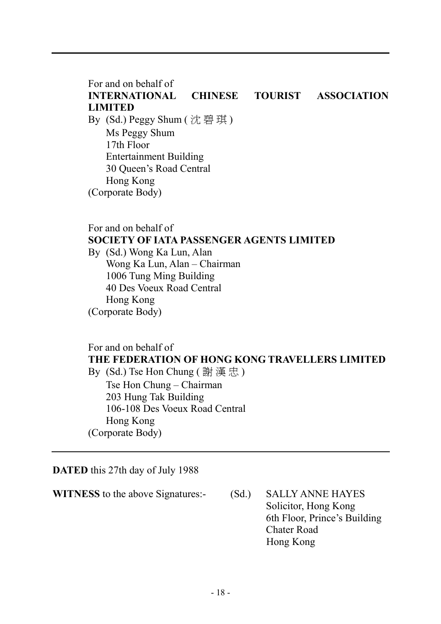For and on behalf of INTERNATIONAL CHINESE TOURIST ASSOCIATION LIMITED By (Sd.) Peggy Shum ( 沈 碧 琪 ) Ms Peggy Shum 17th Floor Entertainment Building 30 Queen's Road Central Hong Kong (Corporate Body)

### For and on behalf of SOCIETY OF IATA PASSENGER AGENTS LIMITED

By (Sd.) Wong Ka Lun, Alan Wong Ka Lun, Alan – Chairman 1006 Tung Ming Building 40 Des Voeux Road Central Hong Kong (Corporate Body)

# For and on behalf of THE FEDERATION OF HONG KONG TRAVELLERS LIMITED

By (Sd.) Tse Hon Chung ( 謝 漢 忠 ) Tse Hon Chung – Chairman 203 Hung Tak Building 106-108 Des Voeux Road Central Hong Kong (Corporate Body)

DATED this 27th day of July 1988

WITNESS to the above Signatures: (Sd.) SALLY ANNE HAYES

 Solicitor, Hong Kong 6th Floor, Prince's Building Chater Road Hong Kong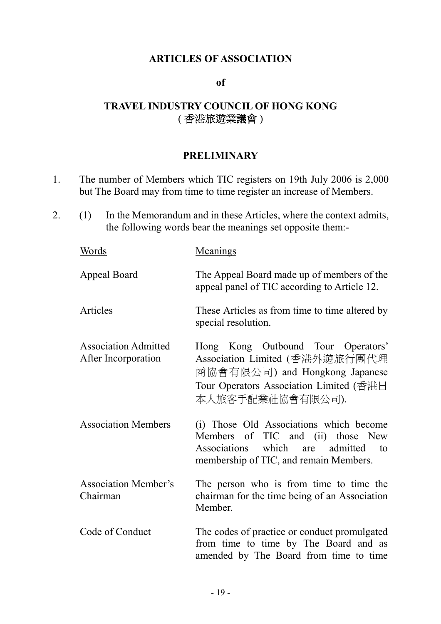### ARTICLES OF ASSOCIATION

#### of

# TRAVEL INDUSTRY COUNCIL OF HONG KONG ( 香港旅遊業議會 )

### **PRELIMINARY**

- 1. The number of Members which TIC registers on 19th July 2006 is 2,000 but The Board may from time to time register an increase of Members.
- 2. (1) In the Memorandum and in these Articles, where the context admits, the following words bear the meanings set opposite them:-

| Words                                              | Meanings                                                                                                                                                              |
|----------------------------------------------------|-----------------------------------------------------------------------------------------------------------------------------------------------------------------------|
| <b>Appeal Board</b>                                | The Appeal Board made up of members of the<br>appeal panel of TIC according to Article 12.                                                                            |
| Articles                                           | These Articles as from time to time altered by<br>special resolution.                                                                                                 |
| <b>Association Admitted</b><br>After Incorporation | Hong Kong Outbound Tour Operators'<br>Association Limited (香港外遊旅行團代理<br>商協會有限公司) and Hongkong Japanese<br>Tour Operators Association Limited (香港日<br>本人旅客手配業社協會有限公司). |
| <b>Association Members</b>                         | (i) Those Old Associations which become<br>Members of TIC and (ii) those New<br>which are<br>admitted<br>Associations<br>to<br>membership of TIC, and remain Members. |
| <b>Association Member's</b><br>Chairman            | The person who is from time to time the<br>chairman for the time being of an Association<br>Member.                                                                   |
| Code of Conduct                                    | The codes of practice or conduct promulgated<br>from time to time by The Board and as<br>amended by The Board from time to time                                       |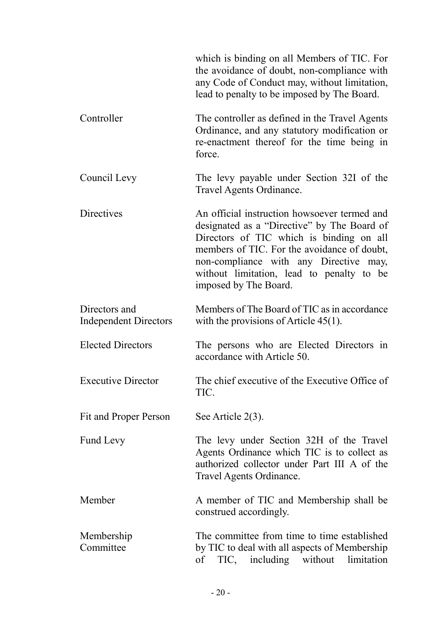|                                               | which is binding on all Members of TIC. For<br>the avoidance of doubt, non-compliance with<br>any Code of Conduct may, without limitation,<br>lead to penalty to be imposed by The Board.                                                                                                              |
|-----------------------------------------------|--------------------------------------------------------------------------------------------------------------------------------------------------------------------------------------------------------------------------------------------------------------------------------------------------------|
| Controller                                    | The controller as defined in the Travel Agents<br>Ordinance, and any statutory modification or<br>re-enactment thereof for the time being in<br>force.                                                                                                                                                 |
| Council Levy                                  | The levy payable under Section 32I of the<br>Travel Agents Ordinance.                                                                                                                                                                                                                                  |
| <b>Directives</b>                             | An official instruction howsoever termed and<br>designated as a "Directive" by The Board of<br>Directors of TIC which is binding on all<br>members of TIC. For the avoidance of doubt,<br>non-compliance with any Directive may,<br>without limitation, lead to penalty to be<br>imposed by The Board. |
| Directors and<br><b>Independent Directors</b> | Members of The Board of TIC as in accordance<br>with the provisions of Article $45(1)$ .                                                                                                                                                                                                               |
| <b>Elected Directors</b>                      | The persons who are Elected Directors in<br>accordance with Article 50.                                                                                                                                                                                                                                |
| <b>Executive Director</b>                     | The chief executive of the Executive Office of<br>TIC.                                                                                                                                                                                                                                                 |
| Fit and Proper Person                         | See Article 2(3).                                                                                                                                                                                                                                                                                      |
| <b>Fund Levy</b>                              | The levy under Section 32H of the Travel<br>Agents Ordinance which TIC is to collect as<br>authorized collector under Part III A of the<br>Travel Agents Ordinance.                                                                                                                                    |
| Member                                        | A member of TIC and Membership shall be<br>construed accordingly.                                                                                                                                                                                                                                      |
| Membership<br>Committee                       | The committee from time to time established<br>by TIC to deal with all aspects of Membership<br>of TIC, including without limitation                                                                                                                                                                   |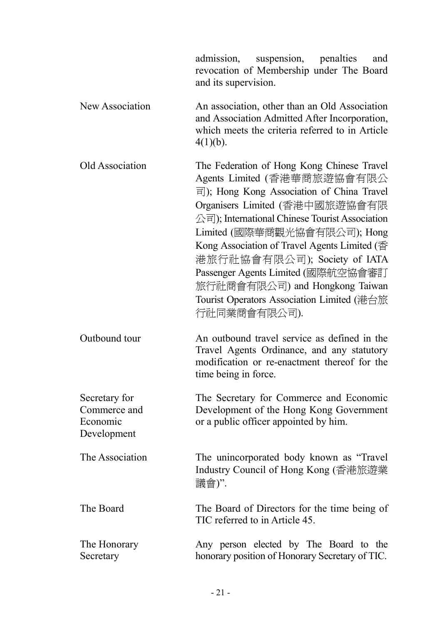|                                                          | admission, suspension, penalties<br>and<br>revocation of Membership under The Board<br>and its supervision.                                                                                                                                                                                                                                                                                                                                                                                                                                    |
|----------------------------------------------------------|------------------------------------------------------------------------------------------------------------------------------------------------------------------------------------------------------------------------------------------------------------------------------------------------------------------------------------------------------------------------------------------------------------------------------------------------------------------------------------------------------------------------------------------------|
| New Association                                          | An association, other than an Old Association<br>and Association Admitted After Incorporation,<br>which meets the criteria referred to in Article<br>$4(1)(b)$ .                                                                                                                                                                                                                                                                                                                                                                               |
| Old Association                                          | The Federation of Hong Kong Chinese Travel<br>Agents Limited (香港華商旅遊協會有限公<br>$\overline{\overline{f}}$ ); Hong Kong Association of China Travel<br>Organisers Limited (香港中國旅遊協會有限<br>$\triangle \overline{\mathbb{F}}$ ); International Chinese Tourist Association<br>Limited (國際華商觀光協會有限公司); Hong<br>Kong Association of Travel Agents Limited ( $\overline{\text{f}}$<br>港旅行社協會有限公司); Society of IATA<br>Passenger Agents Limited (國際航空協會審訂<br>旅行社商會有限公司) and Hongkong Taiwan<br>Tourist Operators Association Limited (港台旅<br>行社同業商會有限公司). |
| Outbound tour                                            | An outbound travel service as defined in the<br>Travel Agents Ordinance, and any statutory<br>modification or re-enactment thereof for the<br>time being in force.                                                                                                                                                                                                                                                                                                                                                                             |
| Secretary for<br>Commerce and<br>Economic<br>Development | The Secretary for Commerce and Economic<br>Development of the Hong Kong Government<br>or a public officer appointed by him.                                                                                                                                                                                                                                                                                                                                                                                                                    |
| The Association                                          | The unincorporated body known as "Travel"<br>Industry Council of Hong Kong (香港旅遊業<br>議會)".                                                                                                                                                                                                                                                                                                                                                                                                                                                     |
| The Board                                                | The Board of Directors for the time being of<br>TIC referred to in Article 45.                                                                                                                                                                                                                                                                                                                                                                                                                                                                 |
| The Honorary<br>Secretary                                | Any person elected by The Board to the<br>honorary position of Honorary Secretary of TIC.                                                                                                                                                                                                                                                                                                                                                                                                                                                      |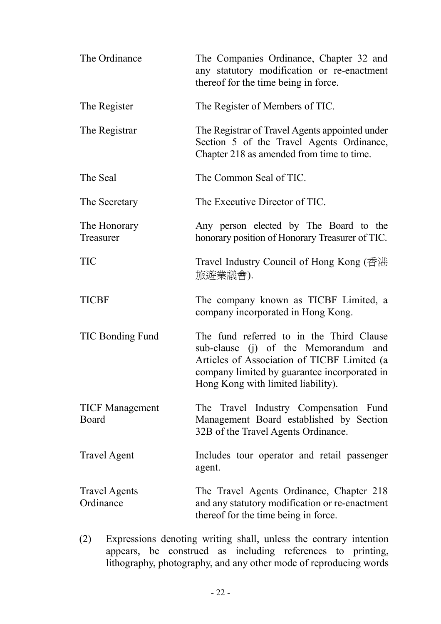| The Ordinance                   | The Companies Ordinance, Chapter 32 and<br>any statutory modification or re-enactment<br>thereof for the time being in force.                                                                                         |
|---------------------------------|-----------------------------------------------------------------------------------------------------------------------------------------------------------------------------------------------------------------------|
| The Register                    | The Register of Members of TIC.                                                                                                                                                                                       |
| The Registrar                   | The Registrar of Travel Agents appointed under<br>Section 5 of the Travel Agents Ordinance,<br>Chapter 218 as amended from time to time.                                                                              |
| The Seal                        | The Common Seal of TIC.                                                                                                                                                                                               |
| The Secretary                   | The Executive Director of TIC.                                                                                                                                                                                        |
| The Honorary<br>Treasurer       | Any person elected by The Board to the<br>honorary position of Honorary Treasurer of TIC.                                                                                                                             |
| <b>TIC</b>                      | Travel Industry Council of Hong Kong (香港<br>旅遊業議會).                                                                                                                                                                   |
| <b>TICBF</b>                    | The company known as TICBF Limited, a<br>company incorporated in Hong Kong.                                                                                                                                           |
| TIC Bonding Fund                | The fund referred to in the Third Clause<br>sub-clause (j) of the Memorandum and<br>Articles of Association of TICBF Limited (a<br>company limited by guarantee incorporated in<br>Hong Kong with limited liability). |
| <b>TICF Management</b><br>Board | The Travel Industry Compensation Fund<br>Management Board established by Section<br>32B of the Travel Agents Ordinance.                                                                                               |
| <b>Travel Agent</b>             | Includes tour operator and retail passenger<br>agent.                                                                                                                                                                 |
|                                 |                                                                                                                                                                                                                       |

 (2) Expressions denoting writing shall, unless the contrary intention appears, be construed as including references to printing, lithography, photography, and any other mode of reproducing words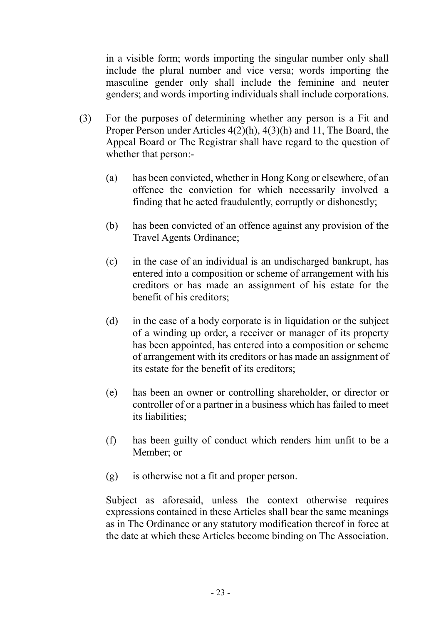in a visible form; words importing the singular number only shall include the plural number and vice versa; words importing the masculine gender only shall include the feminine and neuter genders; and words importing individuals shall include corporations.

- (3) For the purposes of determining whether any person is a Fit and Proper Person under Articles 4(2)(h), 4(3)(h) and 11, The Board, the Appeal Board or The Registrar shall have regard to the question of whether that person:-
	- (a) has been convicted, whether in Hong Kong or elsewhere, of an offence the conviction for which necessarily involved a finding that he acted fraudulently, corruptly or dishonestly;
	- (b) has been convicted of an offence against any provision of the Travel Agents Ordinance;
	- (c) in the case of an individual is an undischarged bankrupt, has entered into a composition or scheme of arrangement with his creditors or has made an assignment of his estate for the benefit of his creditors;
	- (d) in the case of a body corporate is in liquidation or the subject of a winding up order, a receiver or manager of its property has been appointed, has entered into a composition or scheme of arrangement with its creditors or has made an assignment of its estate for the benefit of its creditors;
	- (e) has been an owner or controlling shareholder, or director or controller of or a partner in a business which has failed to meet its liabilities;
	- (f) has been guilty of conduct which renders him unfit to be a Member; or
	- (g) is otherwise not a fit and proper person.

 Subject as aforesaid, unless the context otherwise requires expressions contained in these Articles shall bear the same meanings as in The Ordinance or any statutory modification thereof in force at the date at which these Articles become binding on The Association.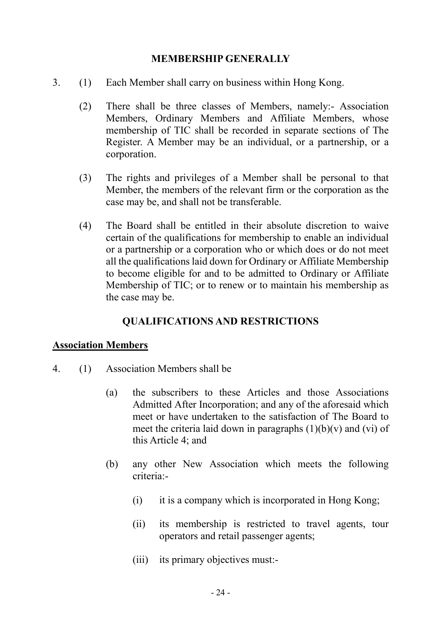### MEMBERSHIP GENERALLY

- 3. (1) Each Member shall carry on business within Hong Kong.
	- (2) There shall be three classes of Members, namely:- Association Members, Ordinary Members and Affiliate Members, whose membership of TIC shall be recorded in separate sections of The Register. A Member may be an individual, or a partnership, or a corporation.
	- (3) The rights and privileges of a Member shall be personal to that Member, the members of the relevant firm or the corporation as the case may be, and shall not be transferable.
	- (4) The Board shall be entitled in their absolute discretion to waive certain of the qualifications for membership to enable an individual or a partnership or a corporation who or which does or do not meet all the qualifications laid down for Ordinary or Affiliate Membership to become eligible for and to be admitted to Ordinary or Affiliate Membership of TIC; or to renew or to maintain his membership as the case may be.

### QUALIFICATIONS AND RESTRICTIONS

#### Association Members

- 4. (1) Association Members shall be
	- (a) the subscribers to these Articles and those Associations Admitted After Incorporation; and any of the aforesaid which meet or have undertaken to the satisfaction of The Board to meet the criteria laid down in paragraphs  $(1)(b)(v)$  and  $(vi)$  of this Article 4; and
	- (b) any other New Association which meets the following criteria:-
		- (i) it is a company which is incorporated in Hong Kong;
		- (ii) its membership is restricted to travel agents, tour operators and retail passenger agents;
		- (iii) its primary objectives must:-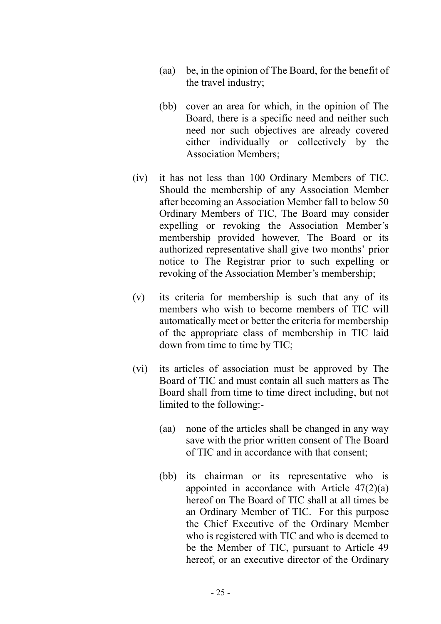- (aa) be, in the opinion of The Board, for the benefit of the travel industry;
- (bb) cover an area for which, in the opinion of The Board, there is a specific need and neither such need nor such objectives are already covered either individually or collectively by the Association Members;
- (iv) it has not less than 100 Ordinary Members of TIC. Should the membership of any Association Member after becoming an Association Member fall to below 50 Ordinary Members of TIC, The Board may consider expelling or revoking the Association Member's membership provided however, The Board or its authorized representative shall give two months' prior notice to The Registrar prior to such expelling or revoking of the Association Member's membership;
- (v) its criteria for membership is such that any of its members who wish to become members of TIC will automatically meet or better the criteria for membership of the appropriate class of membership in TIC laid down from time to time by TIC;
- (vi) its articles of association must be approved by The Board of TIC and must contain all such matters as The Board shall from time to time direct including, but not limited to the following:-
	- (aa) none of the articles shall be changed in any way save with the prior written consent of The Board of TIC and in accordance with that consent;
	- (bb) its chairman or its representative who is appointed in accordance with Article  $47(2)(a)$ hereof on The Board of TIC shall at all times be an Ordinary Member of TIC. For this purpose the Chief Executive of the Ordinary Member who is registered with TIC and who is deemed to be the Member of TIC, pursuant to Article 49 hereof, or an executive director of the Ordinary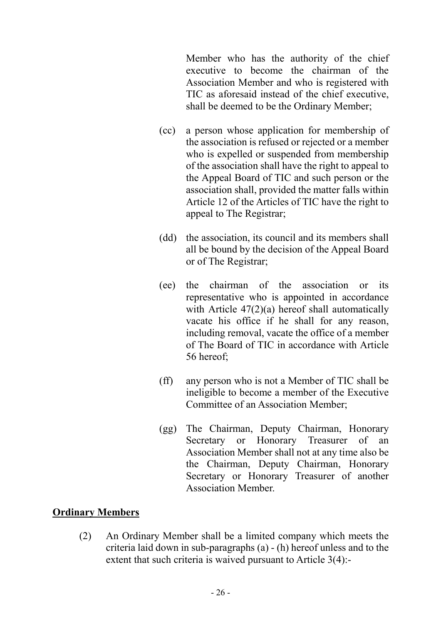Member who has the authority of the chief executive to become the chairman of the Association Member and who is registered with TIC as aforesaid instead of the chief executive, shall be deemed to be the Ordinary Member;

- (cc) a person whose application for membership of the association is refused or rejected or a member who is expelled or suspended from membership of the association shall have the right to appeal to the Appeal Board of TIC and such person or the association shall, provided the matter falls within Article 12 of the Articles of TIC have the right to appeal to The Registrar;
- (dd) the association, its council and its members shall all be bound by the decision of the Appeal Board or of The Registrar;
- (ee) the chairman of the association or its representative who is appointed in accordance with Article 47(2)(a) hereof shall automatically vacate his office if he shall for any reason, including removal, vacate the office of a member of The Board of TIC in accordance with Article 56 hereof;
- (ff) any person who is not a Member of TIC shall be ineligible to become a member of the Executive Committee of an Association Member;
- (gg) The Chairman, Deputy Chairman, Honorary Secretary or Honorary Treasurer of an Association Member shall not at any time also be the Chairman, Deputy Chairman, Honorary Secretary or Honorary Treasurer of another Association Member.

### Ordinary Members

 (2) An Ordinary Member shall be a limited company which meets the criteria laid down in sub-paragraphs (a) - (h) hereof unless and to the extent that such criteria is waived pursuant to Article 3(4):-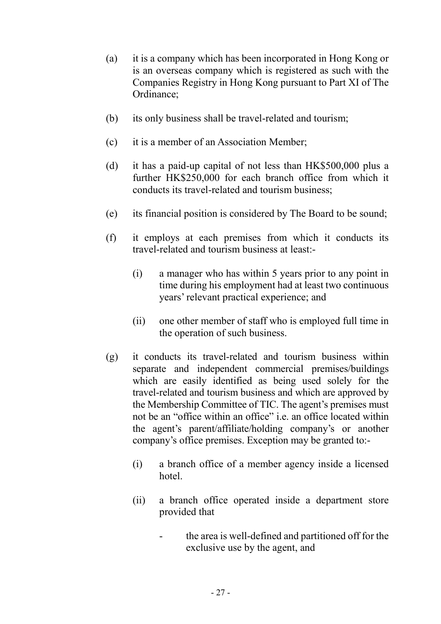- (a) it is a company which has been incorporated in Hong Kong or is an overseas company which is registered as such with the Companies Registry in Hong Kong pursuant to Part XI of The Ordinance;
- (b) its only business shall be travel-related and tourism;
- (c) it is a member of an Association Member;
- (d) it has a paid-up capital of not less than HK\$500,000 plus a further HK\$250,000 for each branch office from which it conducts its travel-related and tourism business;
- (e) its financial position is considered by The Board to be sound;
- (f) it employs at each premises from which it conducts its travel-related and tourism business at least:-
	- (i) a manager who has within 5 years prior to any point in time during his employment had at least two continuous years' relevant practical experience; and
	- (ii) one other member of staff who is employed full time in the operation of such business.
- (g) it conducts its travel-related and tourism business within separate and independent commercial premises/buildings which are easily identified as being used solely for the travel-related and tourism business and which are approved by the Membership Committee of TIC. The agent's premises must not be an "office within an office" i.e. an office located within the agent's parent/affiliate/holding company's or another company's office premises. Exception may be granted to:-
	- (i) a branch office of a member agency inside a licensed hotel.
	- (ii) a branch office operated inside a department store provided that
		- the area is well-defined and partitioned off for the exclusive use by the agent, and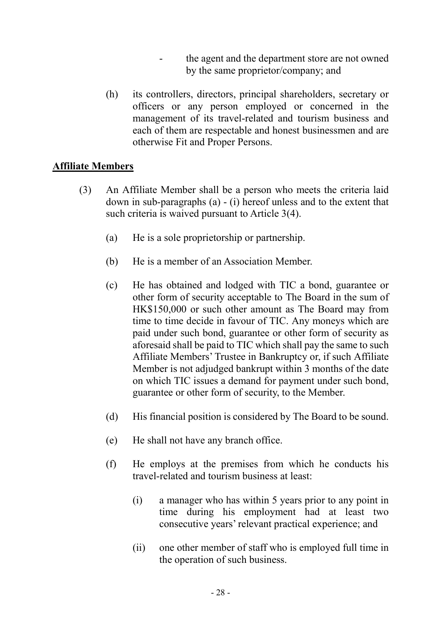- the agent and the department store are not owned by the same proprietor/company; and
- (h) its controllers, directors, principal shareholders, secretary or officers or any person employed or concerned in the management of its travel-related and tourism business and each of them are respectable and honest businessmen and are otherwise Fit and Proper Persons.

### Affiliate Members

- (3) An Affiliate Member shall be a person who meets the criteria laid down in sub-paragraphs (a) - (i) hereof unless and to the extent that such criteria is waived pursuant to Article 3(4).
	- (a) He is a sole proprietorship or partnership.
	- (b) He is a member of an Association Member.
	- (c) He has obtained and lodged with TIC a bond, guarantee or other form of security acceptable to The Board in the sum of HK\$150,000 or such other amount as The Board may from time to time decide in favour of TIC. Any moneys which are paid under such bond, guarantee or other form of security as aforesaid shall be paid to TIC which shall pay the same to such Affiliate Members' Trustee in Bankruptcy or, if such Affiliate Member is not adjudged bankrupt within 3 months of the date on which TIC issues a demand for payment under such bond, guarantee or other form of security, to the Member.
	- (d) His financial position is considered by The Board to be sound.
	- (e) He shall not have any branch office.
	- (f) He employs at the premises from which he conducts his travel-related and tourism business at least:
		- (i) a manager who has within 5 years prior to any point in time during his employment had at least two consecutive years' relevant practical experience; and
		- (ii) one other member of staff who is employed full time in the operation of such business.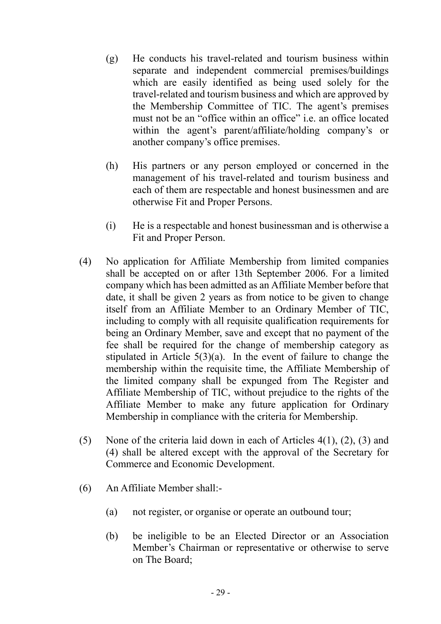- (g) He conducts his travel-related and tourism business within separate and independent commercial premises/buildings which are easily identified as being used solely for the travel-related and tourism business and which are approved by the Membership Committee of TIC. The agent's premises must not be an "office within an office" i.e. an office located within the agent's parent/affiliate/holding company's or another company's office premises.
- (h) His partners or any person employed or concerned in the management of his travel-related and tourism business and each of them are respectable and honest businessmen and are otherwise Fit and Proper Persons.
- (i) He is a respectable and honest businessman and is otherwise a Fit and Proper Person.
- (4) No application for Affiliate Membership from limited companies shall be accepted on or after 13th September 2006. For a limited company which has been admitted as an Affiliate Member before that date, it shall be given 2 years as from notice to be given to change itself from an Affiliate Member to an Ordinary Member of TIC, including to comply with all requisite qualification requirements for being an Ordinary Member, save and except that no payment of the fee shall be required for the change of membership category as stipulated in Article  $5(3)(a)$ . In the event of failure to change the membership within the requisite time, the Affiliate Membership of the limited company shall be expunged from The Register and Affiliate Membership of TIC, without prejudice to the rights of the Affiliate Member to make any future application for Ordinary Membership in compliance with the criteria for Membership.
- (5) None of the criteria laid down in each of Articles 4(1), (2), (3) and (4) shall be altered except with the approval of the Secretary for Commerce and Economic Development.
- (6) An Affiliate Member shall:-
	- (a) not register, or organise or operate an outbound tour;
	- (b) be ineligible to be an Elected Director or an Association Member's Chairman or representative or otherwise to serve on The Board;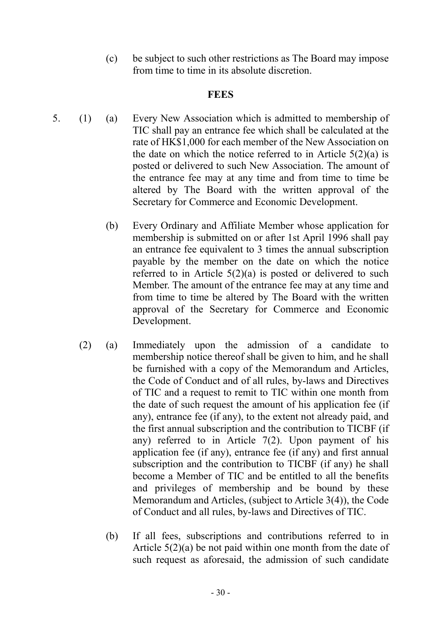(c) be subject to such other restrictions as The Board may impose from time to time in its absolute discretion.

### **FEES**

- 5. (1) (a) Every New Association which is admitted to membership of TIC shall pay an entrance fee which shall be calculated at the rate of HK\$1,000 for each member of the New Association on the date on which the notice referred to in Article  $5(2)(a)$  is posted or delivered to such New Association. The amount of the entrance fee may at any time and from time to time be altered by The Board with the written approval of the Secretary for Commerce and Economic Development.
	- (b) Every Ordinary and Affiliate Member whose application for membership is submitted on or after 1st April 1996 shall pay an entrance fee equivalent to 3 times the annual subscription payable by the member on the date on which the notice referred to in Article  $5(2)(a)$  is posted or delivered to such Member. The amount of the entrance fee may at any time and from time to time be altered by The Board with the written approval of the Secretary for Commerce and Economic Development.
	- (2) (a) Immediately upon the admission of a candidate to membership notice thereof shall be given to him, and he shall be furnished with a copy of the Memorandum and Articles, the Code of Conduct and of all rules, by-laws and Directives of TIC and a request to remit to TIC within one month from the date of such request the amount of his application fee (if any), entrance fee (if any), to the extent not already paid, and the first annual subscription and the contribution to TICBF (if any) referred to in Article 7(2). Upon payment of his application fee (if any), entrance fee (if any) and first annual subscription and the contribution to TICBF (if any) he shall become a Member of TIC and be entitled to all the benefits and privileges of membership and be bound by these Memorandum and Articles, (subject to Article 3(4)), the Code of Conduct and all rules, by-laws and Directives of TIC.
		- (b) If all fees, subscriptions and contributions referred to in Article 5(2)(a) be not paid within one month from the date of such request as aforesaid, the admission of such candidate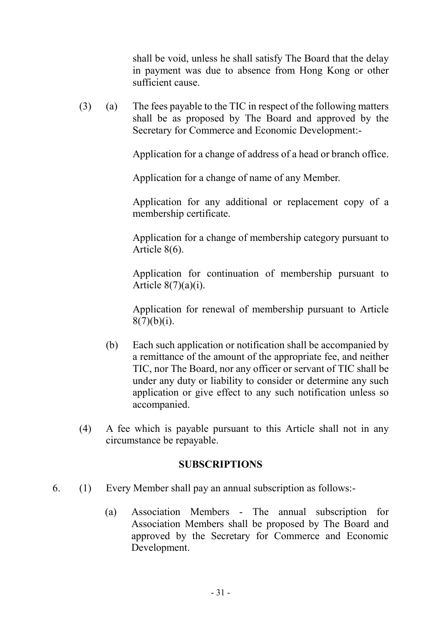shall be void, unless he shall satisfy The Board that the delay in payment was due to absence from Hong Kong or other sufficient cause.

 (3) (a) The fees payable to the TIC in respect of the following matters shall be as proposed by The Board and approved by the Secretary for Commerce and Economic Development:-

Application for a change of address of a head or branch office.

Application for a change of name of any Member.

 Application for any additional or replacement copy of a membership certificate.

 Application for a change of membership category pursuant to Article 8(6).

 Application for continuation of membership pursuant to Article  $8(7)(a)(i)$ .

 Application for renewal of membership pursuant to Article  $8(7)(b)(i)$ .

- (b) Each such application or notification shall be accompanied by a remittance of the amount of the appropriate fee, and neither TIC, nor The Board, nor any officer or servant of TIC shall be under any duty or liability to consider or determine any such application or give effect to any such notification unless so accompanied.
- (4) A fee which is payable pursuant to this Article shall not in any circumstance be repayable.

### SUBSCRIPTIONS

- 6. (1) Every Member shall pay an annual subscription as follows:-
	- (a) Association Members The annual subscription for Association Members shall be proposed by The Board and approved by the Secretary for Commerce and Economic Development.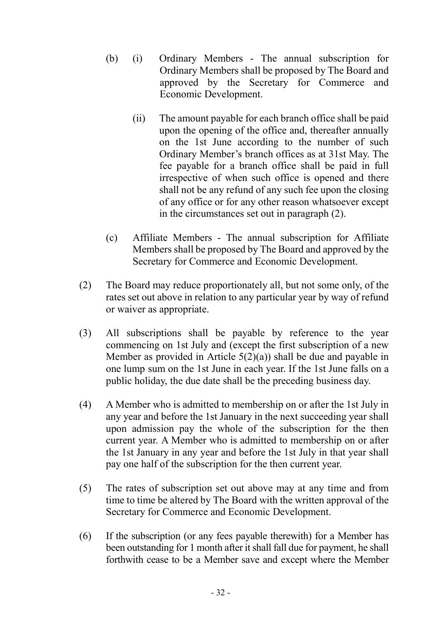- (b) (i) Ordinary Members The annual subscription for Ordinary Members shall be proposed by The Board and approved by the Secretary for Commerce and Economic Development.
	- (ii) The amount payable for each branch office shall be paid upon the opening of the office and, thereafter annually on the 1st June according to the number of such Ordinary Member's branch offices as at 31st May. The fee payable for a branch office shall be paid in full irrespective of when such office is opened and there shall not be any refund of any such fee upon the closing of any office or for any other reason whatsoever except in the circumstances set out in paragraph (2).
- (c) Affiliate Members The annual subscription for Affiliate Members shall be proposed by The Board and approved by the Secretary for Commerce and Economic Development.
- (2) The Board may reduce proportionately all, but not some only, of the rates set out above in relation to any particular year by way of refund or waiver as appropriate.
- (3) All subscriptions shall be payable by reference to the year commencing on 1st July and (except the first subscription of a new Member as provided in Article  $5(2)(a)$ ) shall be due and payable in one lump sum on the 1st June in each year. If the 1st June falls on a public holiday, the due date shall be the preceding business day.
- (4) A Member who is admitted to membership on or after the 1st July in any year and before the 1st January in the next succeeding year shall upon admission pay the whole of the subscription for the then current year. A Member who is admitted to membership on or after the 1st January in any year and before the 1st July in that year shall pay one half of the subscription for the then current year.
- (5) The rates of subscription set out above may at any time and from time to time be altered by The Board with the written approval of the Secretary for Commerce and Economic Development.
- (6) If the subscription (or any fees payable therewith) for a Member has been outstanding for 1 month after it shall fall due for payment, he shall forthwith cease to be a Member save and except where the Member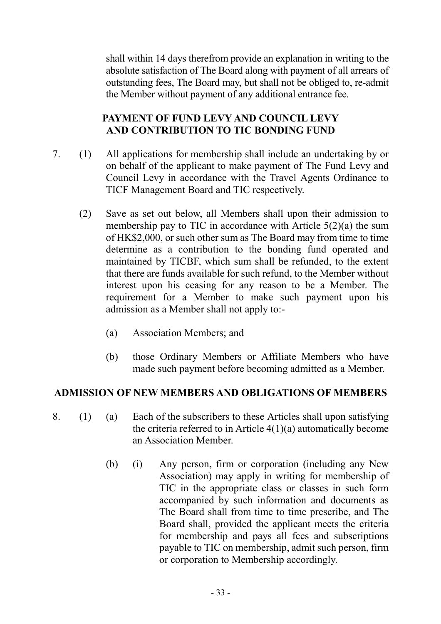shall within 14 days therefrom provide an explanation in writing to the absolute satisfaction of The Board along with payment of all arrears of outstanding fees, The Board may, but shall not be obliged to, re-admit the Member without payment of any additional entrance fee.

# PAYMENT OF FUND LEVY AND COUNCIL LEVY AND CONTRIBUTION TO TIC BONDING FUND

- 7. (1) All applications for membership shall include an undertaking by or on behalf of the applicant to make payment of The Fund Levy and Council Levy in accordance with the Travel Agents Ordinance to TICF Management Board and TIC respectively.
	- (2) Save as set out below, all Members shall upon their admission to membership pay to TIC in accordance with Article 5(2)(a) the sum of HK\$2,000, or such other sum as The Board may from time to time determine as a contribution to the bonding fund operated and maintained by TICBF, which sum shall be refunded, to the extent that there are funds available for such refund, to the Member without interest upon his ceasing for any reason to be a Member. The requirement for a Member to make such payment upon his admission as a Member shall not apply to:-
		- (a) Association Members; and
		- (b) those Ordinary Members or Affiliate Members who have made such payment before becoming admitted as a Member.

### ADMISSION OF NEW MEMBERS AND OBLIGATIONS OF MEMBERS

- 8. (1) (a) Each of the subscribers to these Articles shall upon satisfying the criteria referred to in Article 4(1)(a) automatically become an Association Member.
	- (b) (i) Any person, firm or corporation (including any New Association) may apply in writing for membership of TIC in the appropriate class or classes in such form accompanied by such information and documents as The Board shall from time to time prescribe, and The Board shall, provided the applicant meets the criteria for membership and pays all fees and subscriptions payable to TIC on membership, admit such person, firm or corporation to Membership accordingly.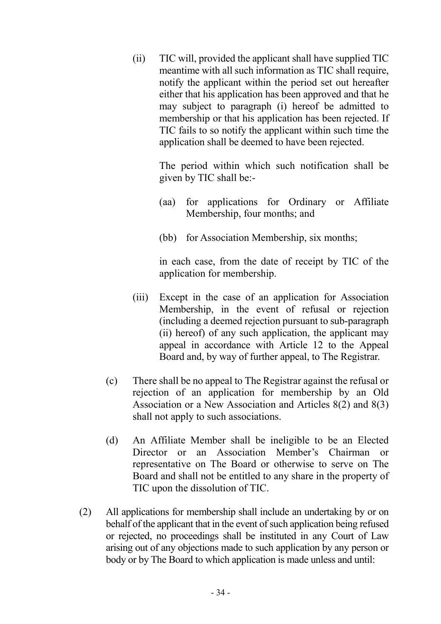(ii) TIC will, provided the applicant shall have supplied TIC meantime with all such information as TIC shall require, notify the applicant within the period set out hereafter either that his application has been approved and that he may subject to paragraph (i) hereof be admitted to membership or that his application has been rejected. If TIC fails to so notify the applicant within such time the application shall be deemed to have been rejected.

> The period within which such notification shall be given by TIC shall be:-

- (aa) for applications for Ordinary or Affiliate Membership, four months; and
- (bb) for Association Membership, six months;

 in each case, from the date of receipt by TIC of the application for membership.

- (iii) Except in the case of an application for Association Membership, in the event of refusal or rejection (including a deemed rejection pursuant to sub-paragraph (ii) hereof) of any such application, the applicant may appeal in accordance with Article 12 to the Appeal Board and, by way of further appeal, to The Registrar.
- (c) There shall be no appeal to The Registrar against the refusal or rejection of an application for membership by an Old Association or a New Association and Articles 8(2) and 8(3) shall not apply to such associations.
- (d) An Affiliate Member shall be ineligible to be an Elected Director or an Association Member's Chairman or representative on The Board or otherwise to serve on The Board and shall not be entitled to any share in the property of TIC upon the dissolution of TIC.
- (2) All applications for membership shall include an undertaking by or on behalf of the applicant that in the event of such application being refused or rejected, no proceedings shall be instituted in any Court of Law arising out of any objections made to such application by any person or body or by The Board to which application is made unless and until: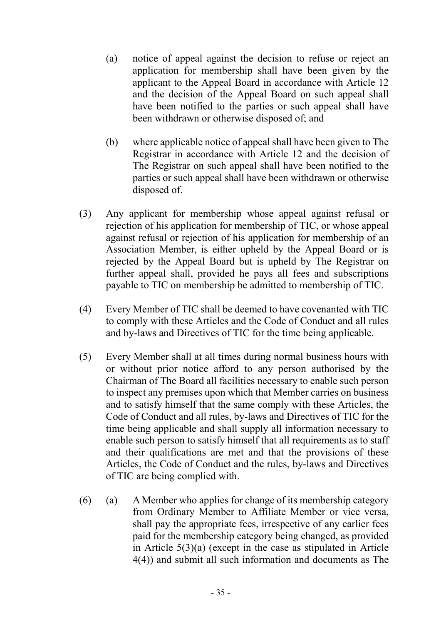- (a) notice of appeal against the decision to refuse or reject an application for membership shall have been given by the applicant to the Appeal Board in accordance with Article 12 and the decision of the Appeal Board on such appeal shall have been notified to the parties or such appeal shall have been withdrawn or otherwise disposed of; and
- (b) where applicable notice of appeal shall have been given to The Registrar in accordance with Article 12 and the decision of The Registrar on such appeal shall have been notified to the parties or such appeal shall have been withdrawn or otherwise disposed of.
- (3) Any applicant for membership whose appeal against refusal or rejection of his application for membership of TIC, or whose appeal against refusal or rejection of his application for membership of an Association Member, is either upheld by the Appeal Board or is rejected by the Appeal Board but is upheld by The Registrar on further appeal shall, provided he pays all fees and subscriptions payable to TIC on membership be admitted to membership of TIC.
- (4) Every Member of TIC shall be deemed to have covenanted with TIC to comply with these Articles and the Code of Conduct and all rules and by-laws and Directives of TIC for the time being applicable.
- (5) Every Member shall at all times during normal business hours with or without prior notice afford to any person authorised by the Chairman of The Board all facilities necessary to enable such person to inspect any premises upon which that Member carries on business and to satisfy himself that the same comply with these Articles, the Code of Conduct and all rules, by-laws and Directives of TIC for the time being applicable and shall supply all information necessary to enable such person to satisfy himself that all requirements as to staff and their qualifications are met and that the provisions of these Articles, the Code of Conduct and the rules, by-laws and Directives of TIC are being complied with.
- (6) (a) A Member who applies for change of its membership category from Ordinary Member to Affiliate Member or vice versa, shall pay the appropriate fees, irrespective of any earlier fees paid for the membership category being changed, as provided in Article 5(3)(a) (except in the case as stipulated in Article 4(4)) and submit all such information and documents as The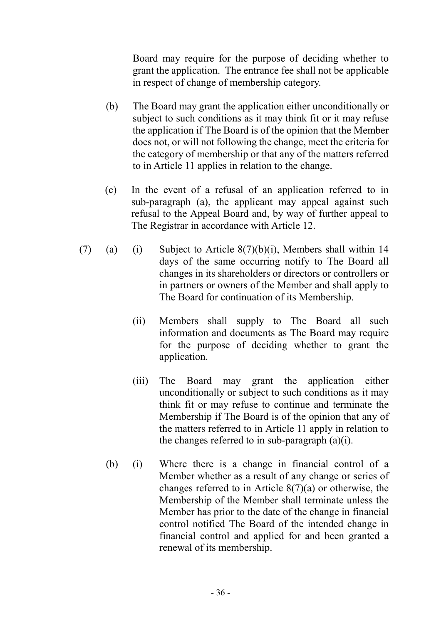Board may require for the purpose of deciding whether to grant the application. The entrance fee shall not be applicable in respect of change of membership category.

- (b) The Board may grant the application either unconditionally or subject to such conditions as it may think fit or it may refuse the application if The Board is of the opinion that the Member does not, or will not following the change, meet the criteria for the category of membership or that any of the matters referred to in Article 11 applies in relation to the change.
- (c) In the event of a refusal of an application referred to in sub-paragraph (a), the applicant may appeal against such refusal to the Appeal Board and, by way of further appeal to The Registrar in accordance with Article 12.
- (7) (a) (i) Subject to Article  $8(7)(b)(i)$ , Members shall within 14 days of the same occurring notify to The Board all changes in its shareholders or directors or controllers or in partners or owners of the Member and shall apply to The Board for continuation of its Membership.
	- (ii) Members shall supply to The Board all such information and documents as The Board may require for the purpose of deciding whether to grant the application.
	- (iii) The Board may grant the application either unconditionally or subject to such conditions as it may think fit or may refuse to continue and terminate the Membership if The Board is of the opinion that any of the matters referred to in Article 11 apply in relation to the changes referred to in sub-paragraph  $(a)(i)$ .
	- (b) (i) Where there is a change in financial control of a Member whether as a result of any change or series of changes referred to in Article  $8(7)(a)$  or otherwise, the Membership of the Member shall terminate unless the Member has prior to the date of the change in financial control notified The Board of the intended change in financial control and applied for and been granted a renewal of its membership.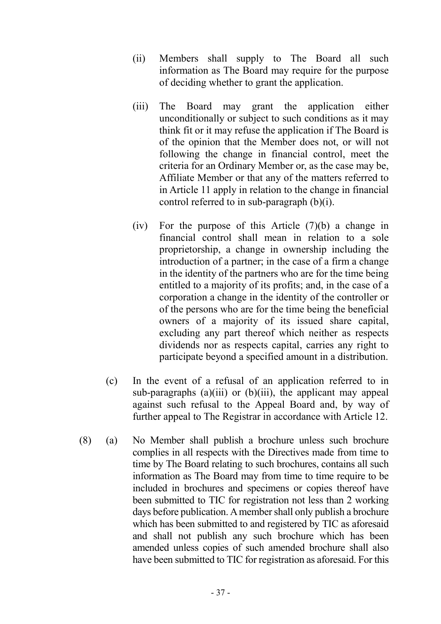- (ii) Members shall supply to The Board all such information as The Board may require for the purpose of deciding whether to grant the application.
- (iii) The Board may grant the application either unconditionally or subject to such conditions as it may think fit or it may refuse the application if The Board is of the opinion that the Member does not, or will not following the change in financial control, meet the criteria for an Ordinary Member or, as the case may be, Affiliate Member or that any of the matters referred to in Article 11 apply in relation to the change in financial control referred to in sub-paragraph (b)(i).
- (iv) For the purpose of this Article (7)(b) a change in financial control shall mean in relation to a sole proprietorship, a change in ownership including the introduction of a partner; in the case of a firm a change in the identity of the partners who are for the time being entitled to a majority of its profits; and, in the case of a corporation a change in the identity of the controller or of the persons who are for the time being the beneficial owners of a majority of its issued share capital, excluding any part thereof which neither as respects dividends nor as respects capital, carries any right to participate beyond a specified amount in a distribution.
- (c) In the event of a refusal of an application referred to in sub-paragraphs  $(a)(iii)$  or  $(b)(iii)$ , the applicant may appeal against such refusal to the Appeal Board and, by way of further appeal to The Registrar in accordance with Article 12.
- (8) (a) No Member shall publish a brochure unless such brochure complies in all respects with the Directives made from time to time by The Board relating to such brochures, contains all such information as The Board may from time to time require to be included in brochures and specimens or copies thereof have been submitted to TIC for registration not less than 2 working days before publication. A member shall only publish a brochure which has been submitted to and registered by TIC as aforesaid and shall not publish any such brochure which has been amended unless copies of such amended brochure shall also have been submitted to TIC for registration as aforesaid. For this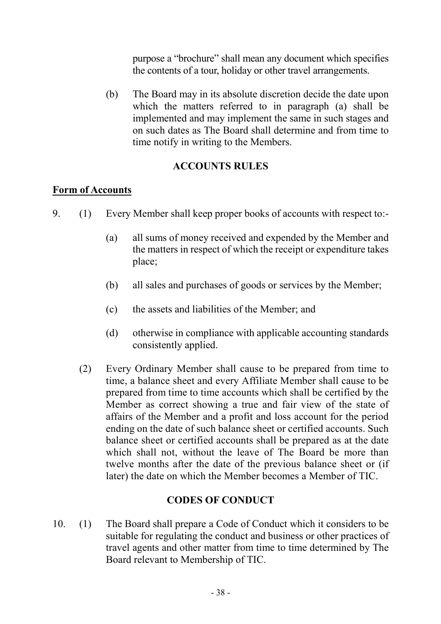purpose a "brochure" shall mean any document which specifies the contents of a tour, holiday or other travel arrangements.

 (b) The Board may in its absolute discretion decide the date upon which the matters referred to in paragraph (a) shall be implemented and may implement the same in such stages and on such dates as The Board shall determine and from time to time notify in writing to the Members.

## ACCOUNTS RULES

#### Form of Accounts

- 9. (1) Every Member shall keep proper books of accounts with respect to:-
	- (a) all sums of money received and expended by the Member and the matters in respect of which the receipt or expenditure takes place;
	- (b) all sales and purchases of goods or services by the Member;
	- (c) the assets and liabilities of the Member; and
	- (d) otherwise in compliance with applicable accounting standards consistently applied.
	- (2) Every Ordinary Member shall cause to be prepared from time to time, a balance sheet and every Affiliate Member shall cause to be prepared from time to time accounts which shall be certified by the Member as correct showing a true and fair view of the state of affairs of the Member and a profit and loss account for the period ending on the date of such balance sheet or certified accounts. Such balance sheet or certified accounts shall be prepared as at the date which shall not, without the leave of The Board be more than twelve months after the date of the previous balance sheet or (if later) the date on which the Member becomes a Member of TIC.

## CODES OF CONDUCT

10. (1) The Board shall prepare a Code of Conduct which it considers to be suitable for regulating the conduct and business or other practices of travel agents and other matter from time to time determined by The Board relevant to Membership of TIC.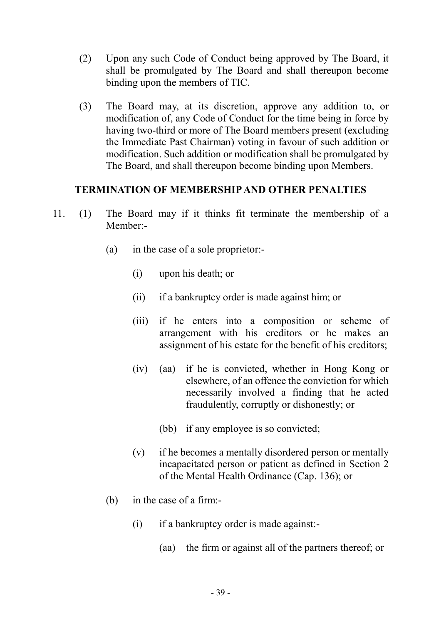- (2) Upon any such Code of Conduct being approved by The Board, it shall be promulgated by The Board and shall thereupon become binding upon the members of TIC.
- (3) The Board may, at its discretion, approve any addition to, or modification of, any Code of Conduct for the time being in force by having two-third or more of The Board members present (excluding the Immediate Past Chairman) voting in favour of such addition or modification. Such addition or modification shall be promulgated by The Board, and shall thereupon become binding upon Members.

#### TERMINATION OF MEMBERSHIP AND OTHER PENALTIES

- 11. (1) The Board may if it thinks fit terminate the membership of a Member:-
	- (a) in the case of a sole proprietor:-
		- (i) upon his death; or
		- (ii) if a bankruptcy order is made against him; or
		- (iii) if he enters into a composition or scheme of arrangement with his creditors or he makes an assignment of his estate for the benefit of his creditors;
		- (iv) (aa) if he is convicted, whether in Hong Kong or elsewhere, of an offence the conviction for which necessarily involved a finding that he acted fraudulently, corruptly or dishonestly; or
			- (bb) if any employee is so convicted;
		- (v) if he becomes a mentally disordered person or mentally incapacitated person or patient as defined in Section 2 of the Mental Health Ordinance (Cap. 136); or
	- (b) in the case of a firm:-
		- (i) if a bankruptcy order is made against:-
			- (aa) the firm or against all of the partners thereof; or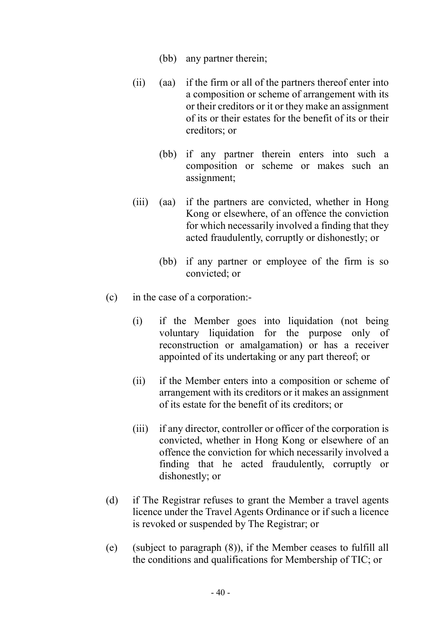- (bb) any partner therein;
- (ii) (aa) if the firm or all of the partners thereof enter into a composition or scheme of arrangement with its or their creditors or it or they make an assignment of its or their estates for the benefit of its or their creditors; or
	- (bb) if any partner therein enters into such a composition or scheme or makes such an assignment;
- (iii) (aa) if the partners are convicted, whether in Hong Kong or elsewhere, of an offence the conviction for which necessarily involved a finding that they acted fraudulently, corruptly or dishonestly; or
	- (bb) if any partner or employee of the firm is so convicted; or
- (c) in the case of a corporation:-
	- (i) if the Member goes into liquidation (not being voluntary liquidation for the purpose only of reconstruction or amalgamation) or has a receiver appointed of its undertaking or any part thereof; or
	- (ii) if the Member enters into a composition or scheme of arrangement with its creditors or it makes an assignment of its estate for the benefit of its creditors; or
	- (iii) if any director, controller or officer of the corporation is convicted, whether in Hong Kong or elsewhere of an offence the conviction for which necessarily involved a finding that he acted fraudulently, corruptly or dishonestly; or
- (d) if The Registrar refuses to grant the Member a travel agents licence under the Travel Agents Ordinance or if such a licence is revoked or suspended by The Registrar; or
- (e) (subject to paragraph (8)), if the Member ceases to fulfill all the conditions and qualifications for Membership of TIC; or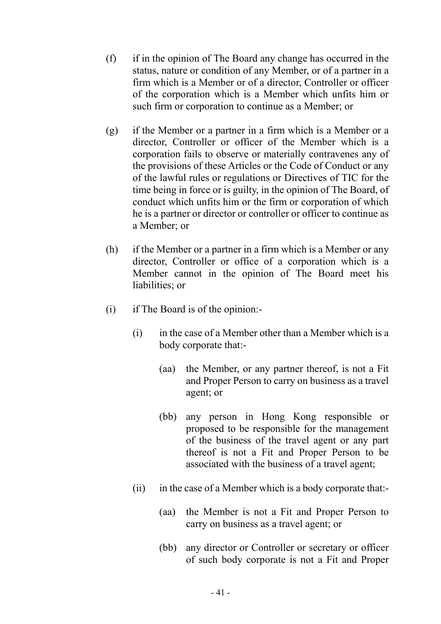- (f) if in the opinion of The Board any change has occurred in the status, nature or condition of any Member, or of a partner in a firm which is a Member or of a director, Controller or officer of the corporation which is a Member which unfits him or such firm or corporation to continue as a Member; or
- (g) if the Member or a partner in a firm which is a Member or a director, Controller or officer of the Member which is a corporation fails to observe or materially contravenes any of the provisions of these Articles or the Code of Conduct or any of the lawful rules or regulations or Directives of TIC for the time being in force or is guilty, in the opinion of The Board, of conduct which unfits him or the firm or corporation of which he is a partner or director or controller or officer to continue as a Member; or
- (h) if the Member or a partner in a firm which is a Member or any director, Controller or office of a corporation which is a Member cannot in the opinion of The Board meet his liabilities; or
- (i) if The Board is of the opinion:-
	- (i) in the case of a Member other than a Member which is a body corporate that:-
		- (aa) the Member, or any partner thereof, is not a Fit and Proper Person to carry on business as a travel agent; or
		- (bb) any person in Hong Kong responsible or proposed to be responsible for the management of the business of the travel agent or any part thereof is not a Fit and Proper Person to be associated with the business of a travel agent;
	- (ii) in the case of a Member which is a body corporate that:-
		- (aa) the Member is not a Fit and Proper Person to carry on business as a travel agent; or
		- (bb) any director or Controller or secretary or officer of such body corporate is not a Fit and Proper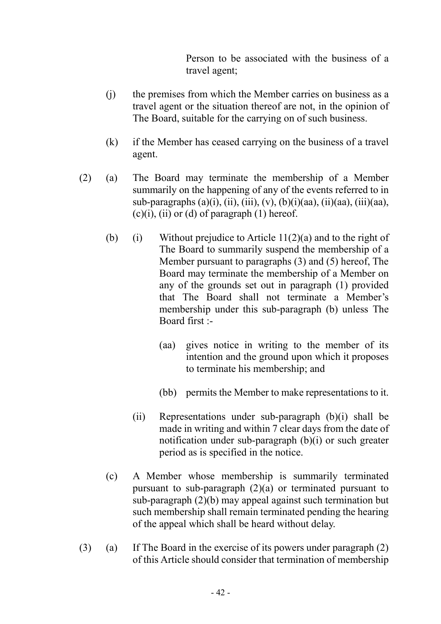Person to be associated with the business of a travel agent;

- (j) the premises from which the Member carries on business as a travel agent or the situation thereof are not, in the opinion of The Board, suitable for the carrying on of such business.
- (k) if the Member has ceased carrying on the business of a travel agent.
- (2) (a) The Board may terminate the membership of a Member summarily on the happening of any of the events referred to in sub-paragraphs  $(a)(i)$ ,  $(ii)$ ,  $(iii)$ ,  $(v)$ ,  $(b)(i)(aa)$ ,  $(ii)(aa)$ ,  $(iii)(aa)$ ,  $(c)(i)$ ,  $(ii)$  or  $(d)$  of paragraph  $(1)$  hereof.
	- (b) (i) Without prejudice to Article  $11(2)(a)$  and to the right of The Board to summarily suspend the membership of a Member pursuant to paragraphs (3) and (5) hereof, The Board may terminate the membership of a Member on any of the grounds set out in paragraph (1) provided that The Board shall not terminate a Member's membership under this sub-paragraph (b) unless The Board first :-
		- (aa) gives notice in writing to the member of its intention and the ground upon which it proposes to terminate his membership; and
		- (bb) permits the Member to make representations to it.
		- (ii) Representations under sub-paragraph (b)(i) shall be made in writing and within 7 clear days from the date of notification under sub-paragraph (b)(i) or such greater period as is specified in the notice.
	- (c) A Member whose membership is summarily terminated pursuant to sub-paragraph (2)(a) or terminated pursuant to sub-paragraph (2)(b) may appeal against such termination but such membership shall remain terminated pending the hearing of the appeal which shall be heard without delay.
- (3) (a) If The Board in the exercise of its powers under paragraph (2) of this Article should consider that termination of membership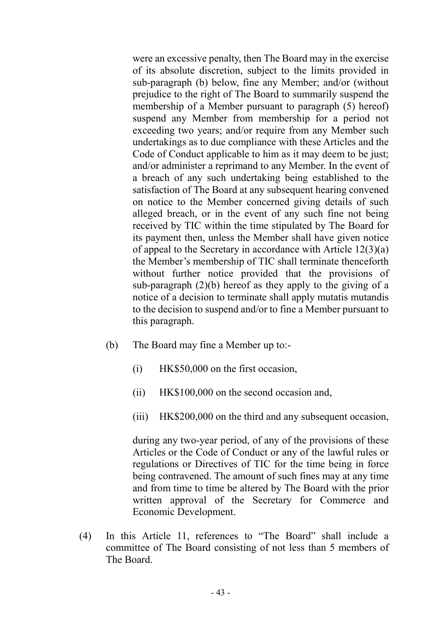were an excessive penalty, then The Board may in the exercise of its absolute discretion, subject to the limits provided in sub-paragraph (b) below, fine any Member; and/or (without prejudice to the right of The Board to summarily suspend the membership of a Member pursuant to paragraph (5) hereof) suspend any Member from membership for a period not exceeding two years; and/or require from any Member such undertakings as to due compliance with these Articles and the Code of Conduct applicable to him as it may deem to be just; and/or administer a reprimand to any Member. In the event of a breach of any such undertaking being established to the satisfaction of The Board at any subsequent hearing convened on notice to the Member concerned giving details of such alleged breach, or in the event of any such fine not being received by TIC within the time stipulated by The Board for its payment then, unless the Member shall have given notice of appeal to the Secretary in accordance with Article 12(3)(a) the Member's membership of TIC shall terminate thenceforth without further notice provided that the provisions of sub-paragraph  $(2)(b)$  hereof as they apply to the giving of a notice of a decision to terminate shall apply mutatis mutandis to the decision to suspend and/or to fine a Member pursuant to this paragraph.

- (b) The Board may fine a Member up to:-
	- (i) HK\$50,000 on the first occasion,
	- (ii) HK\$100,000 on the second occasion and,
	- (iii) HK\$200,000 on the third and any subsequent occasion,

during any two-year period, of any of the provisions of these Articles or the Code of Conduct or any of the lawful rules or regulations or Directives of TIC for the time being in force being contravened. The amount of such fines may at any time and from time to time be altered by The Board with the prior written approval of the Secretary for Commerce and Economic Development.

 (4) In this Article 11, references to "The Board" shall include a committee of The Board consisting of not less than 5 members of The Board.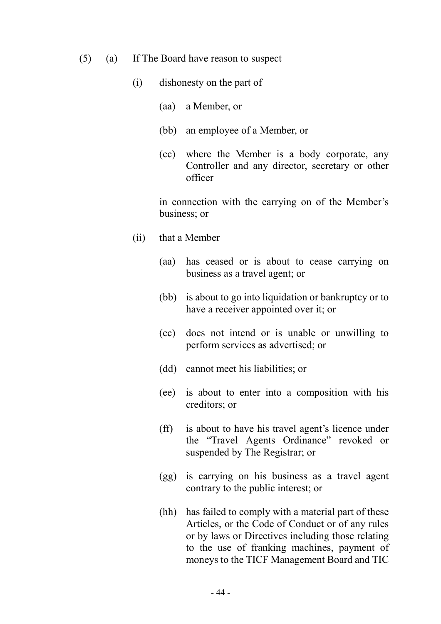- (5) (a) If The Board have reason to suspect
	- (i) dishonesty on the part of
		- (aa) a Member, or
		- (bb) an employee of a Member, or
		- (cc) where the Member is a body corporate, any Controller and any director, secretary or other officer

 in connection with the carrying on of the Member's business; or

- (ii) that a Member
	- (aa) has ceased or is about to cease carrying on business as a travel agent; or
	- (bb) is about to go into liquidation or bankruptcy or to have a receiver appointed over it; or
	- (cc) does not intend or is unable or unwilling to perform services as advertised; or
	- (dd) cannot meet his liabilities; or
	- (ee) is about to enter into a composition with his creditors; or
	- (ff) is about to have his travel agent's licence under the "Travel Agents Ordinance" revoked or suspended by The Registrar; or
	- (gg) is carrying on his business as a travel agent contrary to the public interest; or
	- (hh) has failed to comply with a material part of these Articles, or the Code of Conduct or of any rules or by laws or Directives including those relating to the use of franking machines, payment of moneys to the TICF Management Board and TIC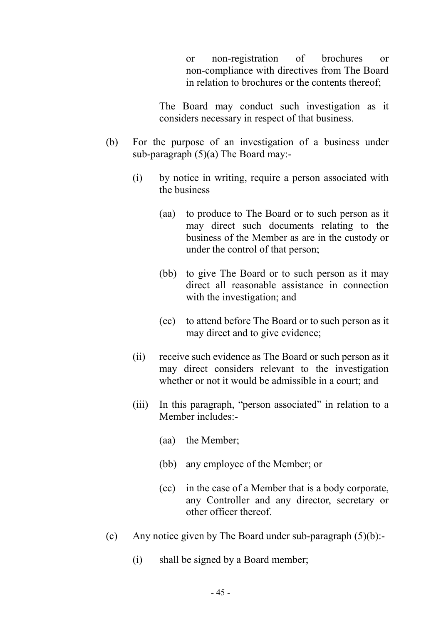or non-registration of brochures or non-compliance with directives from The Board in relation to brochures or the contents thereof;

 The Board may conduct such investigation as it considers necessary in respect of that business.

- (b) For the purpose of an investigation of a business under sub-paragraph (5)(a) The Board may:-
	- (i) by notice in writing, require a person associated with the business
		- (aa) to produce to The Board or to such person as it may direct such documents relating to the business of the Member as are in the custody or under the control of that person;
		- (bb) to give The Board or to such person as it may direct all reasonable assistance in connection with the investigation; and
		- (cc) to attend before The Board or to such person as it may direct and to give evidence;
	- (ii) receive such evidence as The Board or such person as it may direct considers relevant to the investigation whether or not it would be admissible in a court; and
	- (iii) In this paragraph, "person associated" in relation to a Member includes:-
		- (aa) the Member;
		- (bb) any employee of the Member; or
		- (cc) in the case of a Member that is a body corporate, any Controller and any director, secretary or other officer thereof.
- (c) Any notice given by The Board under sub-paragraph  $(5)(b)$ :-
	- (i) shall be signed by a Board member;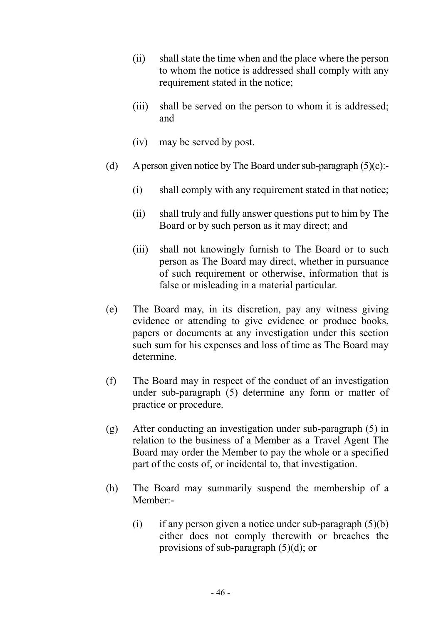- (ii) shall state the time when and the place where the person to whom the notice is addressed shall comply with any requirement stated in the notice;
- (iii) shall be served on the person to whom it is addressed; and
- (iv) may be served by post.
- (d) A person given notice by The Board under sub-paragraph  $(5)(c)$ :-
	- (i) shall comply with any requirement stated in that notice;
	- (ii) shall truly and fully answer questions put to him by The Board or by such person as it may direct; and
	- (iii) shall not knowingly furnish to The Board or to such person as The Board may direct, whether in pursuance of such requirement or otherwise, information that is false or misleading in a material particular.
- (e) The Board may, in its discretion, pay any witness giving evidence or attending to give evidence or produce books, papers or documents at any investigation under this section such sum for his expenses and loss of time as The Board may determine.
- (f) The Board may in respect of the conduct of an investigation under sub-paragraph (5) determine any form or matter of practice or procedure.
- (g) After conducting an investigation under sub-paragraph (5) in relation to the business of a Member as a Travel Agent The Board may order the Member to pay the whole or a specified part of the costs of, or incidental to, that investigation.
- (h) The Board may summarily suspend the membership of a Member:-
	- (i) if any person given a notice under sub-paragraph  $(5)(b)$ either does not comply therewith or breaches the provisions of sub-paragraph (5)(d); or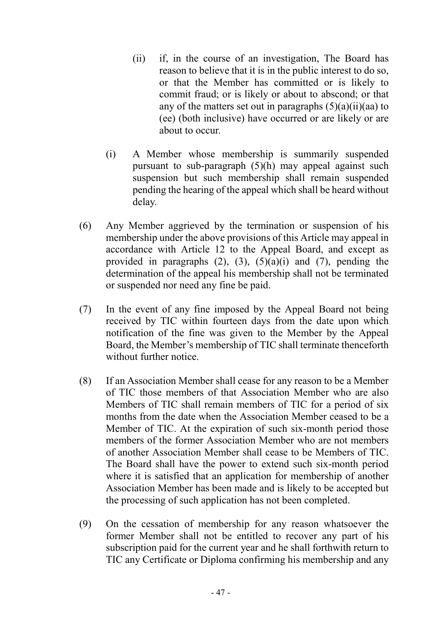- (ii) if, in the course of an investigation, The Board has reason to believe that it is in the public interest to do so, or that the Member has committed or is likely to commit fraud; or is likely or about to abscond; or that any of the matters set out in paragraphs  $(5)(a)(ii)(aa)$  to (ee) (both inclusive) have occurred or are likely or are about to occur.
- (i) A Member whose membership is summarily suspended pursuant to sub-paragraph (5)(h) may appeal against such suspension but such membership shall remain suspended pending the hearing of the appeal which shall be heard without delay.
- (6) Any Member aggrieved by the termination or suspension of his membership under the above provisions of this Article may appeal in accordance with Article 12 to the Appeal Board, and except as provided in paragraphs  $(2)$ ,  $(3)$ ,  $(5)(a)(i)$  and  $(7)$ , pending the determination of the appeal his membership shall not be terminated or suspended nor need any fine be paid.
- (7) In the event of any fine imposed by the Appeal Board not being received by TIC within fourteen days from the date upon which notification of the fine was given to the Member by the Appeal Board, the Member's membership of TIC shall terminate thenceforth without further notice.
- (8) If an Association Member shall cease for any reason to be a Member of TIC those members of that Association Member who are also Members of TIC shall remain members of TIC for a period of six months from the date when the Association Member ceased to be a Member of TIC. At the expiration of such six-month period those members of the former Association Member who are not members of another Association Member shall cease to be Members of TIC. The Board shall have the power to extend such six-month period where it is satisfied that an application for membership of another Association Member has been made and is likely to be accepted but the processing of such application has not been completed.
- (9) On the cessation of membership for any reason whatsoever the former Member shall not be entitled to recover any part of his subscription paid for the current year and he shall forthwith return to TIC any Certificate or Diploma confirming his membership and any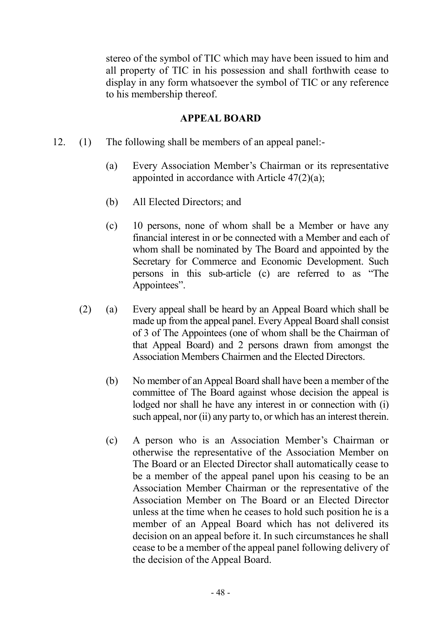stereo of the symbol of TIC which may have been issued to him and all property of TIC in his possession and shall forthwith cease to display in any form whatsoever the symbol of TIC or any reference to his membership thereof.

#### APPEAL BOARD

- 12. (1) The following shall be members of an appeal panel:-
	- (a) Every Association Member's Chairman or its representative appointed in accordance with Article  $47(2)(a)$ ;
	- (b) All Elected Directors; and
	- (c) 10 persons, none of whom shall be a Member or have any financial interest in or be connected with a Member and each of whom shall be nominated by The Board and appointed by the Secretary for Commerce and Economic Development. Such persons in this sub-article (c) are referred to as "The Appointees".
	- (2) (a) Every appeal shall be heard by an Appeal Board which shall be made up from the appeal panel. Every Appeal Board shall consist of 3 of The Appointees (one of whom shall be the Chairman of that Appeal Board) and 2 persons drawn from amongst the Association Members Chairmen and the Elected Directors.
		- (b) No member of an Appeal Board shall have been a member of the committee of The Board against whose decision the appeal is lodged nor shall he have any interest in or connection with (i) such appeal, nor (ii) any party to, or which has an interest therein.
		- (c) A person who is an Association Member's Chairman or otherwise the representative of the Association Member on The Board or an Elected Director shall automatically cease to be a member of the appeal panel upon his ceasing to be an Association Member Chairman or the representative of the Association Member on The Board or an Elected Director unless at the time when he ceases to hold such position he is a member of an Appeal Board which has not delivered its decision on an appeal before it. In such circumstances he shall cease to be a member of the appeal panel following delivery of the decision of the Appeal Board.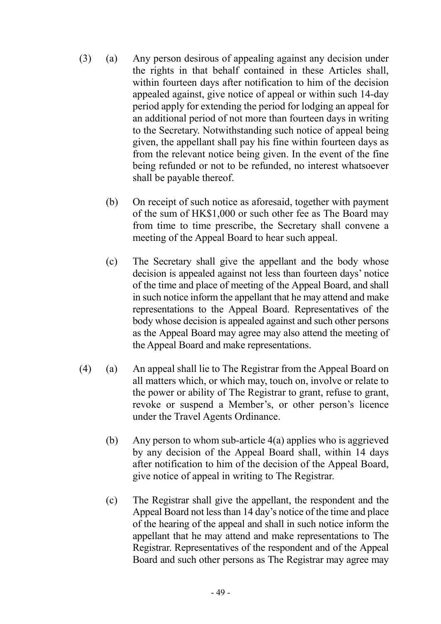- (3) (a) Any person desirous of appealing against any decision under the rights in that behalf contained in these Articles shall, within fourteen days after notification to him of the decision appealed against, give notice of appeal or within such 14-day period apply for extending the period for lodging an appeal for an additional period of not more than fourteen days in writing to the Secretary. Notwithstanding such notice of appeal being given, the appellant shall pay his fine within fourteen days as from the relevant notice being given. In the event of the fine being refunded or not to be refunded, no interest whatsoever shall be payable thereof.
	- (b) On receipt of such notice as aforesaid, together with payment of the sum of HK\$1,000 or such other fee as The Board may from time to time prescribe, the Secretary shall convene a meeting of the Appeal Board to hear such appeal.
	- (c) The Secretary shall give the appellant and the body whose decision is appealed against not less than fourteen days' notice of the time and place of meeting of the Appeal Board, and shall in such notice inform the appellant that he may attend and make representations to the Appeal Board. Representatives of the body whose decision is appealed against and such other persons as the Appeal Board may agree may also attend the meeting of the Appeal Board and make representations.
- (4) (a) An appeal shall lie to The Registrar from the Appeal Board on all matters which, or which may, touch on, involve or relate to the power or ability of The Registrar to grant, refuse to grant, revoke or suspend a Member's, or other person's licence under the Travel Agents Ordinance.
	- (b) Any person to whom sub-article 4(a) applies who is aggrieved by any decision of the Appeal Board shall, within 14 days after notification to him of the decision of the Appeal Board, give notice of appeal in writing to The Registrar.
	- (c) The Registrar shall give the appellant, the respondent and the Appeal Board not less than 14 day's notice of the time and place of the hearing of the appeal and shall in such notice inform the appellant that he may attend and make representations to The Registrar. Representatives of the respondent and of the Appeal Board and such other persons as The Registrar may agree may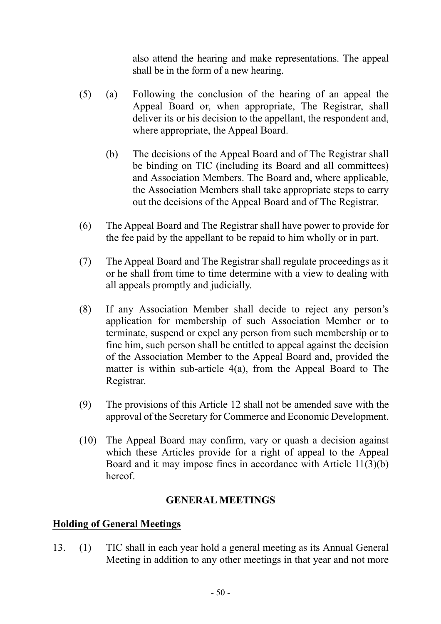also attend the hearing and make representations. The appeal shall be in the form of a new hearing.

- (5) (a) Following the conclusion of the hearing of an appeal the Appeal Board or, when appropriate, The Registrar, shall deliver its or his decision to the appellant, the respondent and, where appropriate, the Appeal Board.
	- (b) The decisions of the Appeal Board and of The Registrar shall be binding on TIC (including its Board and all committees) and Association Members. The Board and, where applicable, the Association Members shall take appropriate steps to carry out the decisions of the Appeal Board and of The Registrar.
- (6) The Appeal Board and The Registrar shall have power to provide for the fee paid by the appellant to be repaid to him wholly or in part.
- (7) The Appeal Board and The Registrar shall regulate proceedings as it or he shall from time to time determine with a view to dealing with all appeals promptly and judicially.
- (8) If any Association Member shall decide to reject any person's application for membership of such Association Member or to terminate, suspend or expel any person from such membership or to fine him, such person shall be entitled to appeal against the decision of the Association Member to the Appeal Board and, provided the matter is within sub-article 4(a), from the Appeal Board to The Registrar.
- (9) The provisions of this Article 12 shall not be amended save with the approval of the Secretary for Commerce and Economic Development.
- (10) The Appeal Board may confirm, vary or quash a decision against which these Articles provide for a right of appeal to the Appeal Board and it may impose fines in accordance with Article 11(3)(b) hereof.

## GENERAL MEETINGS

## Holding of General Meetings

13. (1) TIC shall in each year hold a general meeting as its Annual General Meeting in addition to any other meetings in that year and not more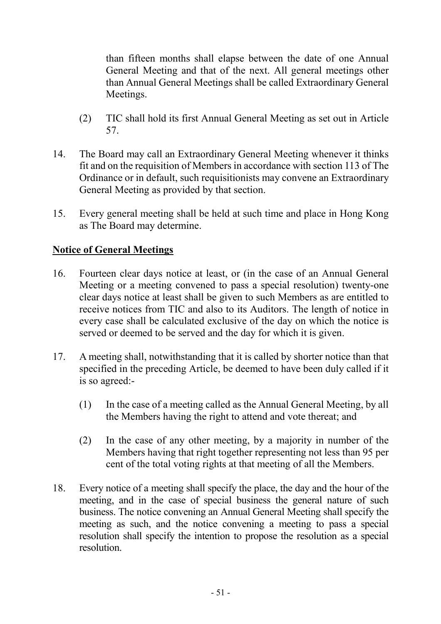than fifteen months shall elapse between the date of one Annual General Meeting and that of the next. All general meetings other than Annual General Meetings shall be called Extraordinary General Meetings.

- (2) TIC shall hold its first Annual General Meeting as set out in Article 57.
- 14. The Board may call an Extraordinary General Meeting whenever it thinks fit and on the requisition of Members in accordance with section 113 of The Ordinance or in default, such requisitionists may convene an Extraordinary General Meeting as provided by that section.
- 15. Every general meeting shall be held at such time and place in Hong Kong as The Board may determine.

# Notice of General Meetings

- 16. Fourteen clear days notice at least, or (in the case of an Annual General Meeting or a meeting convened to pass a special resolution) twenty-one clear days notice at least shall be given to such Members as are entitled to receive notices from TIC and also to its Auditors. The length of notice in every case shall be calculated exclusive of the day on which the notice is served or deemed to be served and the day for which it is given.
- 17. A meeting shall, notwithstanding that it is called by shorter notice than that specified in the preceding Article, be deemed to have been duly called if it is so agreed:-
	- (1) In the case of a meeting called as the Annual General Meeting, by all the Members having the right to attend and vote thereat; and
	- (2) In the case of any other meeting, by a majority in number of the Members having that right together representing not less than 95 per cent of the total voting rights at that meeting of all the Members.
- 18. Every notice of a meeting shall specify the place, the day and the hour of the meeting, and in the case of special business the general nature of such business. The notice convening an Annual General Meeting shall specify the meeting as such, and the notice convening a meeting to pass a special resolution shall specify the intention to propose the resolution as a special resolution.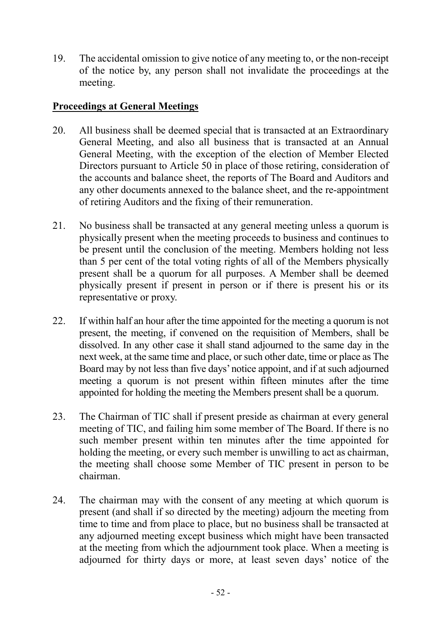19. The accidental omission to give notice of any meeting to, or the non-receipt of the notice by, any person shall not invalidate the proceedings at the meeting.

## Proceedings at General Meetings

- 20. All business shall be deemed special that is transacted at an Extraordinary General Meeting, and also all business that is transacted at an Annual General Meeting, with the exception of the election of Member Elected Directors pursuant to Article 50 in place of those retiring, consideration of the accounts and balance sheet, the reports of The Board and Auditors and any other documents annexed to the balance sheet, and the re-appointment of retiring Auditors and the fixing of their remuneration.
- 21. No business shall be transacted at any general meeting unless a quorum is physically present when the meeting proceeds to business and continues to be present until the conclusion of the meeting. Members holding not less than 5 per cent of the total voting rights of all of the Members physically present shall be a quorum for all purposes. A Member shall be deemed physically present if present in person or if there is present his or its representative or proxy.
- 22. If within half an hour after the time appointed for the meeting a quorum is not present, the meeting, if convened on the requisition of Members, shall be dissolved. In any other case it shall stand adjourned to the same day in the next week, at the same time and place, or such other date, time or place as The Board may by not less than five days' notice appoint, and if at such adjourned meeting a quorum is not present within fifteen minutes after the time appointed for holding the meeting the Members present shall be a quorum.
- 23. The Chairman of TIC shall if present preside as chairman at every general meeting of TIC, and failing him some member of The Board. If there is no such member present within ten minutes after the time appointed for holding the meeting, or every such member is unwilling to act as chairman, the meeting shall choose some Member of TIC present in person to be chairman.
- 24. The chairman may with the consent of any meeting at which quorum is present (and shall if so directed by the meeting) adjourn the meeting from time to time and from place to place, but no business shall be transacted at any adjourned meeting except business which might have been transacted at the meeting from which the adjournment took place. When a meeting is adjourned for thirty days or more, at least seven days' notice of the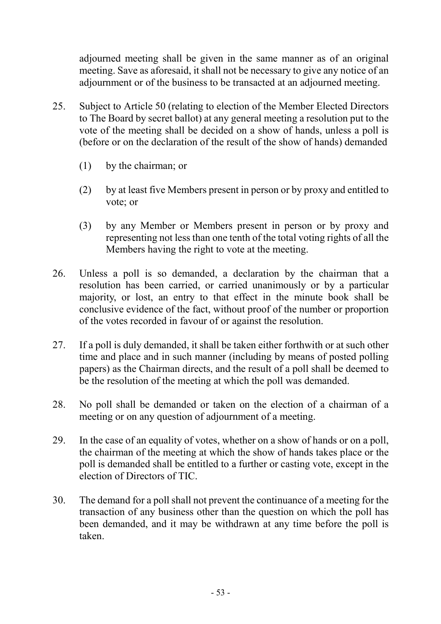adjourned meeting shall be given in the same manner as of an original meeting. Save as aforesaid, it shall not be necessary to give any notice of an adjournment or of the business to be transacted at an adjourned meeting.

- 25. Subject to Article 50 (relating to election of the Member Elected Directors to The Board by secret ballot) at any general meeting a resolution put to the vote of the meeting shall be decided on a show of hands, unless a poll is (before or on the declaration of the result of the show of hands) demanded
	- (1) by the chairman; or
	- (2) by at least five Members present in person or by proxy and entitled to vote; or
	- (3) by any Member or Members present in person or by proxy and representing not less than one tenth of the total voting rights of all the Members having the right to vote at the meeting.
- 26. Unless a poll is so demanded, a declaration by the chairman that a resolution has been carried, or carried unanimously or by a particular majority, or lost, an entry to that effect in the minute book shall be conclusive evidence of the fact, without proof of the number or proportion of the votes recorded in favour of or against the resolution.
- 27. If a poll is duly demanded, it shall be taken either forthwith or at such other time and place and in such manner (including by means of posted polling papers) as the Chairman directs, and the result of a poll shall be deemed to be the resolution of the meeting at which the poll was demanded.
- 28. No poll shall be demanded or taken on the election of a chairman of a meeting or on any question of adjournment of a meeting.
- 29. In the case of an equality of votes, whether on a show of hands or on a poll, the chairman of the meeting at which the show of hands takes place or the poll is demanded shall be entitled to a further or casting vote, except in the election of Directors of TIC.
- 30. The demand for a poll shall not prevent the continuance of a meeting for the transaction of any business other than the question on which the poll has been demanded, and it may be withdrawn at any time before the poll is taken.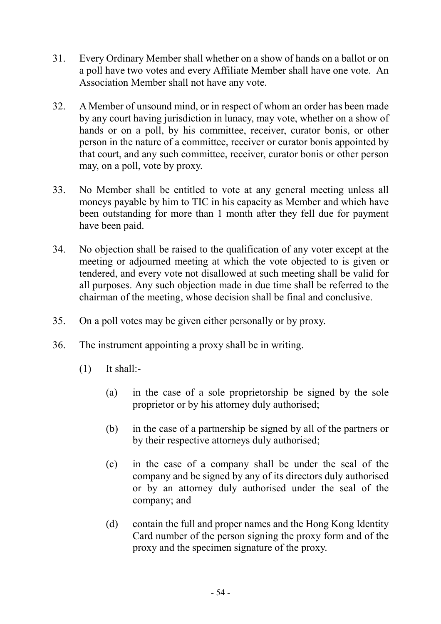- 31. Every Ordinary Member shall whether on a show of hands on a ballot or on a poll have two votes and every Affiliate Member shall have one vote. An Association Member shall not have any vote.
- 32. A Member of unsound mind, or in respect of whom an order has been made by any court having jurisdiction in lunacy, may vote, whether on a show of hands or on a poll, by his committee, receiver, curator bonis, or other person in the nature of a committee, receiver or curator bonis appointed by that court, and any such committee, receiver, curator bonis or other person may, on a poll, vote by proxy.
- 33. No Member shall be entitled to vote at any general meeting unless all moneys payable by him to TIC in his capacity as Member and which have been outstanding for more than 1 month after they fell due for payment have been paid.
- 34. No objection shall be raised to the qualification of any voter except at the meeting or adjourned meeting at which the vote objected to is given or tendered, and every vote not disallowed at such meeting shall be valid for all purposes. Any such objection made in due time shall be referred to the chairman of the meeting, whose decision shall be final and conclusive.
- 35. On a poll votes may be given either personally or by proxy.
- 36. The instrument appointing a proxy shall be in writing.
	- $(1)$  It shall:-
		- (a) in the case of a sole proprietorship be signed by the sole proprietor or by his attorney duly authorised;
		- (b) in the case of a partnership be signed by all of the partners or by their respective attorneys duly authorised;
		- (c) in the case of a company shall be under the seal of the company and be signed by any of its directors duly authorised or by an attorney duly authorised under the seal of the company; and
		- (d) contain the full and proper names and the Hong Kong Identity Card number of the person signing the proxy form and of the proxy and the specimen signature of the proxy.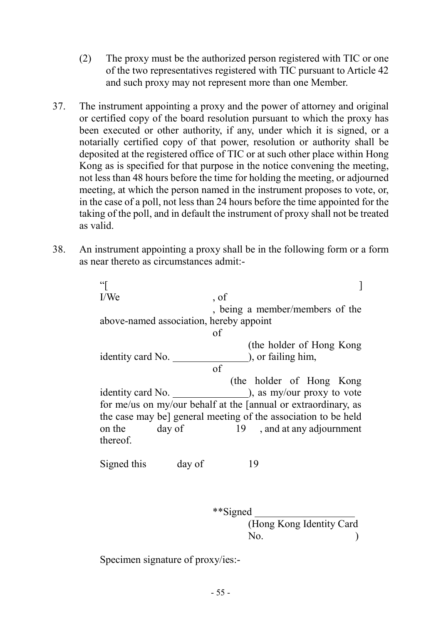- (2) The proxy must be the authorized person registered with TIC or one of the two representatives registered with TIC pursuant to Article 42 and such proxy may not represent more than one Member.
- 37. The instrument appointing a proxy and the power of attorney and original or certified copy of the board resolution pursuant to which the proxy has been executed or other authority, if any, under which it is signed, or a notarially certified copy of that power, resolution or authority shall be deposited at the registered office of TIC or at such other place within Hong Kong as is specified for that purpose in the notice convening the meeting, not less than 48 hours before the time for holding the meeting, or adjourned meeting, at which the person named in the instrument proposes to vote, or, in the case of a poll, not less than 24 hours before the time appointed for the taking of the poll, and in default the instrument of proxy shall not be treated as valid.
- 38. An instrument appointing a proxy shall be in the following form or a form as near thereto as circumstances admit:-

 $\left[ \begin{array}{ccc} 0 & 0 & 0 \\ 0 & 0 & 0 \\ 0 & 0 & 0 \\ 0 & 0 & 0 \\ 0 & 0 & 0 \\ 0 & 0 & 0 \\ 0 & 0 & 0 \\ 0 & 0 & 0 \\ 0 & 0 & 0 \\ 0 & 0 & 0 \\ 0 & 0 & 0 \\ 0 & 0 & 0 \\ 0 & 0 & 0 \\ 0 & 0 & 0 & 0 \\ 0 & 0 & 0 & 0 \\ 0 & 0 & 0 & 0 \\ 0 & 0 & 0 & 0 & 0 \\ 0 & 0 & 0 & 0 & 0 \\ 0 & 0 & 0 & 0 & 0 \\ 0 & 0 & 0 & 0 &$ I/We of , being a member/members of the above-named association, hereby appoint of (the holder of Hong Kong identity card No.  $\qquad \qquad$  ), or failing him, of (the holder of Hong Kong identity card No.  $\qquad \qquad$  ), as my/our proxy to vote for me/us on my/our behalf at the [annual or extraordinary, as the case may be] general meeting of the association to be held on the day of 19 , and at any adjournment thereof. Signed this day of 19

 \*\*Signed (Hong Kong Identity Card No. (a)

Specimen signature of proxy/ies:-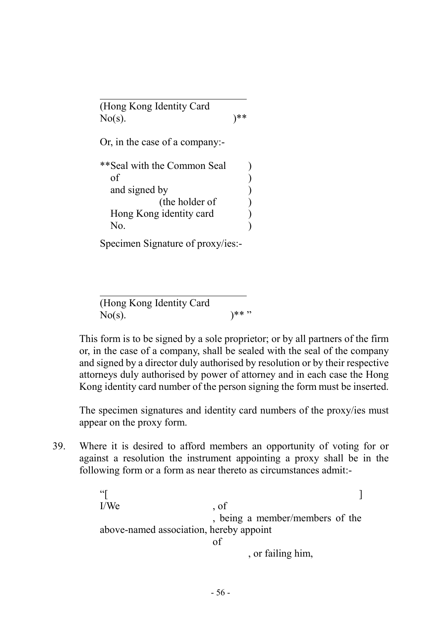(Hong Kong Identity Card  $No(s)$ .  $)$ \*\* Or, in the case of a company:- \*\*Seal with the Common Seal )  $\sigma$  ) and  $\sigma$  and signed by ) (the holder of ) Hong Kong identity card ) No. (a) Specimen Signature of proxy/ies:-

(Hong Kong Identity Card No(s).  $)^{**}$ "

 This form is to be signed by a sole proprietor; or by all partners of the firm or, in the case of a company, shall be sealed with the seal of the company and signed by a director duly authorised by resolution or by their respective attorneys duly authorised by power of attorney and in each case the Hong Kong identity card number of the person signing the form must be inserted.

 The specimen signatures and identity card numbers of the proxy/ies must appear on the proxy form.

39. Where it is desired to afford members an opportunity of voting for or against a resolution the instrument appointing a proxy shall be in the following form or a form as near thereto as circumstances admit:-

> $\left[ \begin{array}{ccc} 0 & 0 & 0 \\ 0 & 0 & 0 \\ 0 & 0 & 0 \\ 0 & 0 & 0 \\ 0 & 0 & 0 \\ 0 & 0 & 0 \\ 0 & 0 & 0 \\ 0 & 0 & 0 \\ 0 & 0 & 0 \\ 0 & 0 & 0 \\ 0 & 0 & 0 \\ 0 & 0 & 0 \\ 0 & 0 & 0 & 0 \\ 0 & 0 & 0 & 0 \\ 0 & 0 & 0 & 0 \\ 0 & 0 & 0 & 0 & 0 \\ 0 & 0 & 0 & 0 & 0 \\ 0 & 0 & 0 & 0 & 0 \\ 0 & 0 & 0 & 0 & 0 \\ 0 & 0 &$ I/We contract the set of , being a member/members of the above-named association, hereby appoint of , or failing him,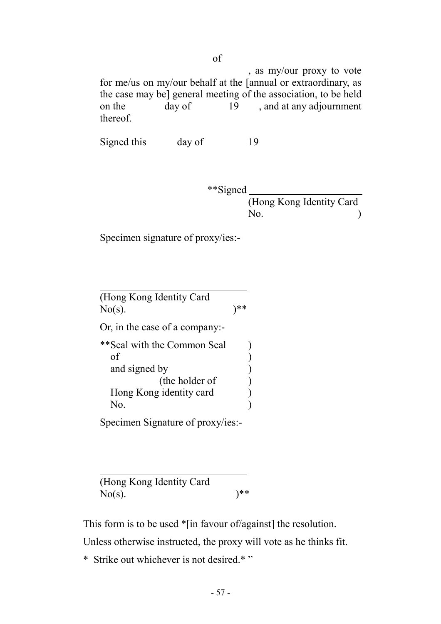, as my/our proxy to vote for me/us on my/our behalf at the [annual or extraordinary, as the case may be] general meeting of the association, to be held on the day of 19 , and at any adjournment thereof.

Signed this day of 19

 \*\*Signed (Hong Kong Identity Card No. (b)

Specimen signature of proxy/ies:-

(Hong Kong Identity Card  $No(s)$ .  $)$ \*\* Or, in the case of a company:- \*\*Seal with the Common Seal )  $\sigma$  ) and  $\sigma$  and signed by ) (the holder of ) Hong Kong identity card ( No. (a)

Specimen Signature of proxy/ies:-

(Hong Kong Identity Card No(s).  $)$ \*\*

This form is to be used \*[in favour of/against] the resolution.

Unless otherwise instructed, the proxy will vote as he thinks fit.

\* Strike out whichever is not desired.\* "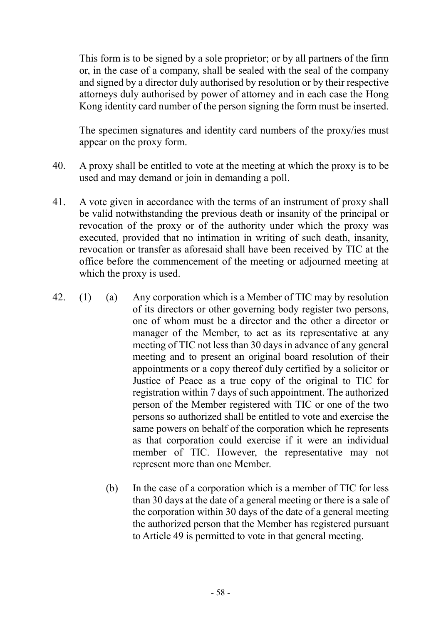This form is to be signed by a sole proprietor; or by all partners of the firm or, in the case of a company, shall be sealed with the seal of the company and signed by a director duly authorised by resolution or by their respective attorneys duly authorised by power of attorney and in each case the Hong Kong identity card number of the person signing the form must be inserted.

 The specimen signatures and identity card numbers of the proxy/ies must appear on the proxy form.

- 40. A proxy shall be entitled to vote at the meeting at which the proxy is to be used and may demand or join in demanding a poll.
- 41. A vote given in accordance with the terms of an instrument of proxy shall be valid notwithstanding the previous death or insanity of the principal or revocation of the proxy or of the authority under which the proxy was executed, provided that no intimation in writing of such death, insanity, revocation or transfer as aforesaid shall have been received by TIC at the office before the commencement of the meeting or adjourned meeting at which the proxy is used.
- 42. (1) (a) Any corporation which is a Member of TIC may by resolution of its directors or other governing body register two persons, one of whom must be a director and the other a director or manager of the Member, to act as its representative at any meeting of TIC not less than 30 days in advance of any general meeting and to present an original board resolution of their appointments or a copy thereof duly certified by a solicitor or Justice of Peace as a true copy of the original to TIC for registration within 7 days of such appointment. The authorized person of the Member registered with TIC or one of the two persons so authorized shall be entitled to vote and exercise the same powers on behalf of the corporation which he represents as that corporation could exercise if it were an individual member of TIC. However, the representative may not represent more than one Member.
	- (b) In the case of a corporation which is a member of TIC for less than 30 days at the date of a general meeting or there is a sale of the corporation within 30 days of the date of a general meeting the authorized person that the Member has registered pursuant to Article 49 is permitted to vote in that general meeting.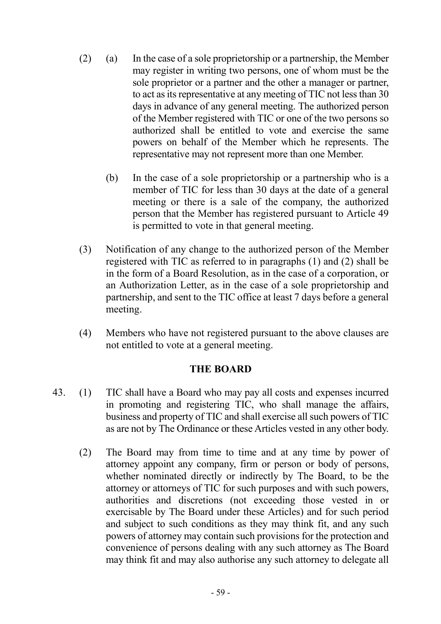- (2) (a) In the case of a sole proprietorship or a partnership, the Member may register in writing two persons, one of whom must be the sole proprietor or a partner and the other a manager or partner, to act as its representative at any meeting of TIC not less than 30 days in advance of any general meeting. The authorized person of the Member registered with TIC or one of the two persons so authorized shall be entitled to vote and exercise the same powers on behalf of the Member which he represents. The representative may not represent more than one Member.
	- (b) In the case of a sole proprietorship or a partnership who is a member of TIC for less than 30 days at the date of a general meeting or there is a sale of the company, the authorized person that the Member has registered pursuant to Article 49 is permitted to vote in that general meeting.
- (3) Notification of any change to the authorized person of the Member registered with TIC as referred to in paragraphs (1) and (2) shall be in the form of a Board Resolution, as in the case of a corporation, or an Authorization Letter, as in the case of a sole proprietorship and partnership, and sent to the TIC office at least 7 days before a general meeting.
- (4) Members who have not registered pursuant to the above clauses are not entitled to vote at a general meeting.

#### THE BOARD

- 43. (1) TIC shall have a Board who may pay all costs and expenses incurred in promoting and registering TIC, who shall manage the affairs, business and property of TIC and shall exercise all such powers of TIC as are not by The Ordinance or these Articles vested in any other body.
	- (2) The Board may from time to time and at any time by power of attorney appoint any company, firm or person or body of persons, whether nominated directly or indirectly by The Board, to be the attorney or attorneys of TIC for such purposes and with such powers, authorities and discretions (not exceeding those vested in or exercisable by The Board under these Articles) and for such period and subject to such conditions as they may think fit, and any such powers of attorney may contain such provisions for the protection and convenience of persons dealing with any such attorney as The Board may think fit and may also authorise any such attorney to delegate all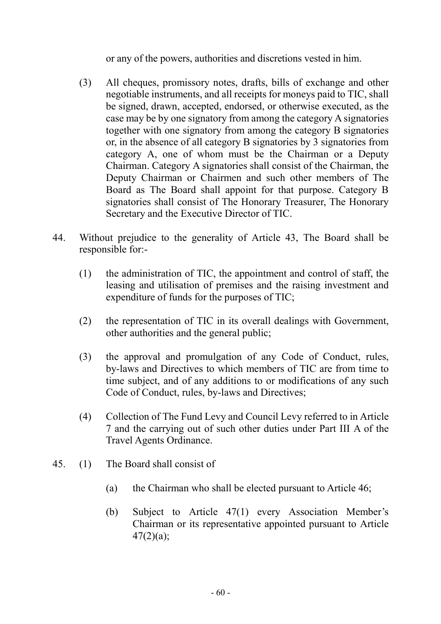or any of the powers, authorities and discretions vested in him.

- (3) All cheques, promissory notes, drafts, bills of exchange and other negotiable instruments, and all receipts for moneys paid to TIC, shall be signed, drawn, accepted, endorsed, or otherwise executed, as the case may be by one signatory from among the category A signatories together with one signatory from among the category B signatories or, in the absence of all category B signatories by 3 signatories from category A, one of whom must be the Chairman or a Deputy Chairman. Category A signatories shall consist of the Chairman, the Deputy Chairman or Chairmen and such other members of The Board as The Board shall appoint for that purpose. Category B signatories shall consist of The Honorary Treasurer, The Honorary Secretary and the Executive Director of TIC.
- 44. Without prejudice to the generality of Article 43, The Board shall be responsible for:-
	- (1) the administration of TIC, the appointment and control of staff, the leasing and utilisation of premises and the raising investment and expenditure of funds for the purposes of TIC;
	- (2) the representation of TIC in its overall dealings with Government, other authorities and the general public;
	- (3) the approval and promulgation of any Code of Conduct, rules, by-laws and Directives to which members of TIC are from time to time subject, and of any additions to or modifications of any such Code of Conduct, rules, by-laws and Directives;
	- (4) Collection of The Fund Levy and Council Levy referred to in Article 7 and the carrying out of such other duties under Part III A of the Travel Agents Ordinance.
- 45. (1) The Board shall consist of
	- (a) the Chairman who shall be elected pursuant to Article 46;
	- (b) Subject to Article 47(1) every Association Member's Chairman or its representative appointed pursuant to Article  $47(2)(a)$ ;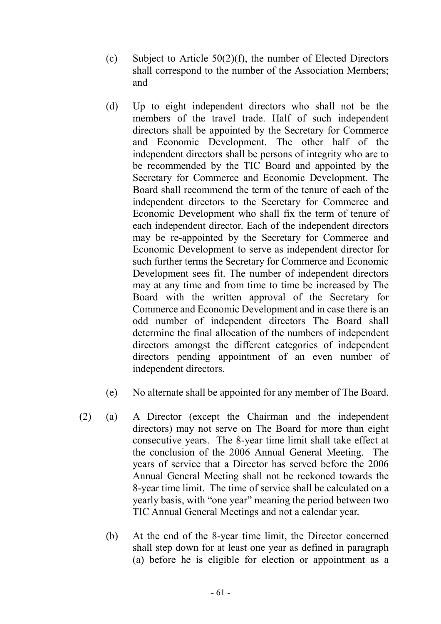- (c) Subject to Article  $50(2)(f)$ , the number of Elected Directors shall correspond to the number of the Association Members; and
- (d) Up to eight independent directors who shall not be the members of the travel trade. Half of such independent directors shall be appointed by the Secretary for Commerce and Economic Development. The other half of the independent directors shall be persons of integrity who are to be recommended by the TIC Board and appointed by the Secretary for Commerce and Economic Development. The Board shall recommend the term of the tenure of each of the independent directors to the Secretary for Commerce and Economic Development who shall fix the term of tenure of each independent director. Each of the independent directors may be re-appointed by the Secretary for Commerce and Economic Development to serve as independent director for such further terms the Secretary for Commerce and Economic Development sees fit. The number of independent directors may at any time and from time to time be increased by The Board with the written approval of the Secretary for Commerce and Economic Development and in case there is an odd number of independent directors The Board shall determine the final allocation of the numbers of independent directors amongst the different categories of independent directors pending appointment of an even number of independent directors.
- (e) No alternate shall be appointed for any member of The Board.
- (2) (a) A Director (except the Chairman and the independent directors) may not serve on The Board for more than eight consecutive years. The 8-year time limit shall take effect at the conclusion of the 2006 Annual General Meeting. The years of service that a Director has served before the 2006 Annual General Meeting shall not be reckoned towards the 8-year time limit. The time of service shall be calculated on a yearly basis, with "one year" meaning the period between two TIC Annual General Meetings and not a calendar year.
	- (b) At the end of the 8-year time limit, the Director concerned shall step down for at least one year as defined in paragraph (a) before he is eligible for election or appointment as a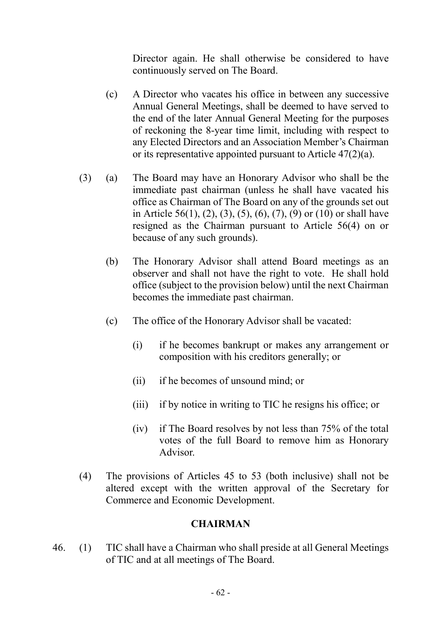Director again. He shall otherwise be considered to have continuously served on The Board.

- (c) A Director who vacates his office in between any successive Annual General Meetings, shall be deemed to have served to the end of the later Annual General Meeting for the purposes of reckoning the 8-year time limit, including with respect to any Elected Directors and an Association Member's Chairman or its representative appointed pursuant to Article 47(2)(a).
- (3) (a) The Board may have an Honorary Advisor who shall be the immediate past chairman (unless he shall have vacated his office as Chairman of The Board on any of the grounds set out in Article 56(1), (2), (3), (5), (6), (7), (9) or (10) or shall have resigned as the Chairman pursuant to Article 56(4) on or because of any such grounds).
	- (b) The Honorary Advisor shall attend Board meetings as an observer and shall not have the right to vote. He shall hold office (subject to the provision below) until the next Chairman becomes the immediate past chairman.
	- (c) The office of the Honorary Advisor shall be vacated:
		- (i) if he becomes bankrupt or makes any arrangement or composition with his creditors generally; or
		- (ii) if he becomes of unsound mind; or
		- (iii) if by notice in writing to TIC he resigns his office; or
		- (iv) if The Board resolves by not less than 75% of the total votes of the full Board to remove him as Honorary Advisor.
- (4) The provisions of Articles 45 to 53 (both inclusive) shall not be altered except with the written approval of the Secretary for Commerce and Economic Development.

## **CHAIRMAN**

46. (1) TIC shall have a Chairman who shall preside at all General Meetings of TIC and at all meetings of The Board.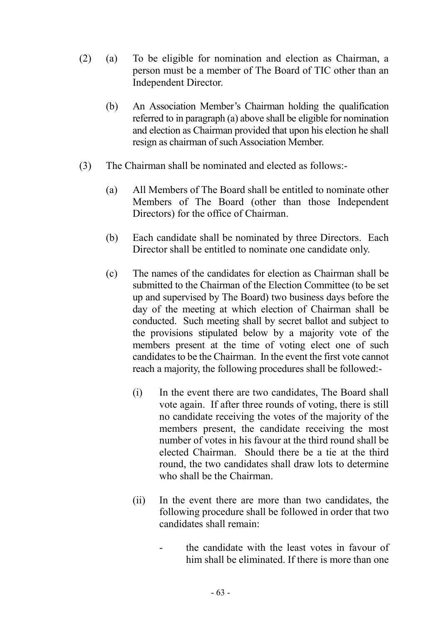- (2) (a) To be eligible for nomination and election as Chairman, a person must be a member of The Board of TIC other than an Independent Director.
	- (b) An Association Member's Chairman holding the qualification referred to in paragraph (a) above shall be eligible for nomination and election as Chairman provided that upon his election he shall resign as chairman of such Association Member.
- (3) The Chairman shall be nominated and elected as follows:-
	- (a) All Members of The Board shall be entitled to nominate other Members of The Board (other than those Independent Directors) for the office of Chairman.
	- (b) Each candidate shall be nominated by three Directors. Each Director shall be entitled to nominate one candidate only.
	- (c) The names of the candidates for election as Chairman shall be submitted to the Chairman of the Election Committee (to be set up and supervised by The Board) two business days before the day of the meeting at which election of Chairman shall be conducted. Such meeting shall by secret ballot and subject to the provisions stipulated below by a majority vote of the members present at the time of voting elect one of such candidates to be the Chairman. In the event the first vote cannot reach a majority, the following procedures shall be followed:-
		- (i) In the event there are two candidates, The Board shall vote again. If after three rounds of voting, there is still no candidate receiving the votes of the majority of the members present, the candidate receiving the most number of votes in his favour at the third round shall be elected Chairman. Should there be a tie at the third round, the two candidates shall draw lots to determine who shall be the Chairman.
		- (ii) In the event there are more than two candidates, the following procedure shall be followed in order that two candidates shall remain:
			- the candidate with the least votes in favour of him shall be eliminated. If there is more than one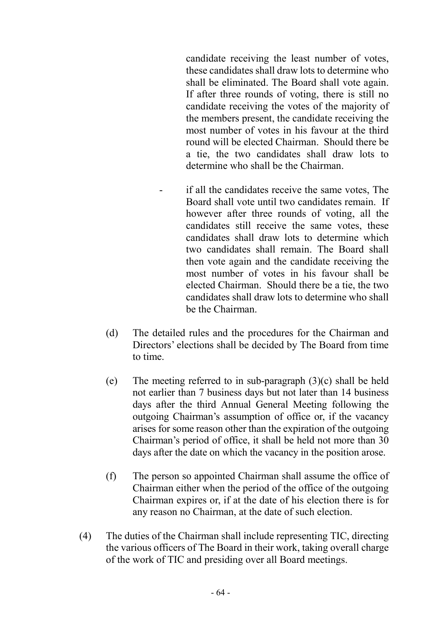candidate receiving the least number of votes, these candidates shall draw lots to determine who shall be eliminated. The Board shall vote again. If after three rounds of voting, there is still no candidate receiving the votes of the majority of the members present, the candidate receiving the most number of votes in his favour at the third round will be elected Chairman. Should there be a tie, the two candidates shall draw lots to determine who shall be the Chairman.

- if all the candidates receive the same votes, The Board shall vote until two candidates remain. If however after three rounds of voting, all the candidates still receive the same votes, these candidates shall draw lots to determine which two candidates shall remain. The Board shall then vote again and the candidate receiving the most number of votes in his favour shall be elected Chairman. Should there be a tie, the two candidates shall draw lots to determine who shall be the Chairman.
- (d) The detailed rules and the procedures for the Chairman and Directors' elections shall be decided by The Board from time to time.
- (e) The meeting referred to in sub-paragraph  $(3)(c)$  shall be held not earlier than 7 business days but not later than 14 business days after the third Annual General Meeting following the outgoing Chairman's assumption of office or, if the vacancy arises for some reason other than the expiration of the outgoing Chairman's period of office, it shall be held not more than 30 days after the date on which the vacancy in the position arose.
- (f) The person so appointed Chairman shall assume the office of Chairman either when the period of the office of the outgoing Chairman expires or, if at the date of his election there is for any reason no Chairman, at the date of such election.
- (4) The duties of the Chairman shall include representing TIC, directing the various officers of The Board in their work, taking overall charge of the work of TIC and presiding over all Board meetings.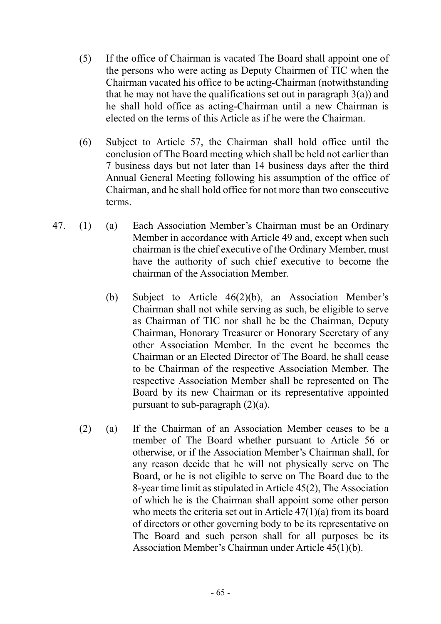- (5) If the office of Chairman is vacated The Board shall appoint one of the persons who were acting as Deputy Chairmen of TIC when the Chairman vacated his office to be acting-Chairman (notwithstanding that he may not have the qualifications set out in paragraph  $3(a)$ ) and he shall hold office as acting-Chairman until a new Chairman is elected on the terms of this Article as if he were the Chairman.
- (6) Subject to Article 57, the Chairman shall hold office until the conclusion of The Board meeting which shall be held not earlier than 7 business days but not later than 14 business days after the third Annual General Meeting following his assumption of the office of Chairman, and he shall hold office for not more than two consecutive terms.
- 47. (1) (a) Each Association Member's Chairman must be an Ordinary Member in accordance with Article 49 and, except when such chairman is the chief executive of the Ordinary Member, must have the authority of such chief executive to become the chairman of the Association Member.
	- (b) Subject to Article 46(2)(b), an Association Member's Chairman shall not while serving as such, be eligible to serve as Chairman of TIC nor shall he be the Chairman, Deputy Chairman, Honorary Treasurer or Honorary Secretary of any other Association Member. In the event he becomes the Chairman or an Elected Director of The Board, he shall cease to be Chairman of the respective Association Member. The respective Association Member shall be represented on The Board by its new Chairman or its representative appointed pursuant to sub-paragraph  $(2)(a)$ .
	- (2) (a) If the Chairman of an Association Member ceases to be a member of The Board whether pursuant to Article 56 or otherwise, or if the Association Member's Chairman shall, for any reason decide that he will not physically serve on The Board, or he is not eligible to serve on The Board due to the 8-year time limit as stipulated in Article 45(2), The Association of which he is the Chairman shall appoint some other person who meets the criteria set out in Article 47(1)(a) from its board of directors or other governing body to be its representative on The Board and such person shall for all purposes be its Association Member's Chairman under Article 45(1)(b).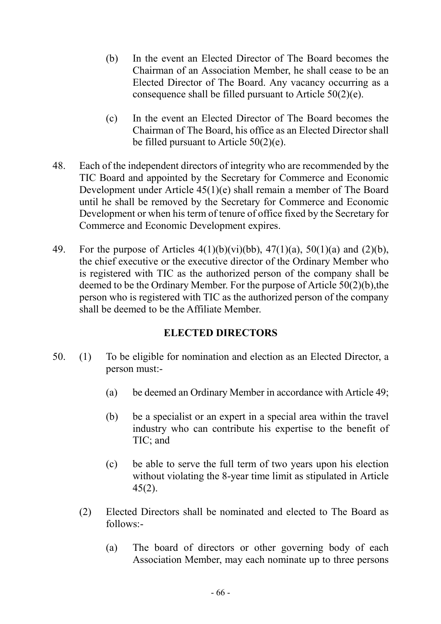- (b) In the event an Elected Director of The Board becomes the Chairman of an Association Member, he shall cease to be an Elected Director of The Board. Any vacancy occurring as a consequence shall be filled pursuant to Article 50(2)(e).
- (c) In the event an Elected Director of The Board becomes the Chairman of The Board, his office as an Elected Director shall be filled pursuant to Article 50(2)(e).
- 48. Each of the independent directors of integrity who are recommended by the TIC Board and appointed by the Secretary for Commerce and Economic Development under Article 45(1)(e) shall remain a member of The Board until he shall be removed by the Secretary for Commerce and Economic Development or when his term of tenure of office fixed by the Secretary for Commerce and Economic Development expires.
- 49. For the purpose of Articles  $4(1)(b)(vi)(bb)$ ,  $47(1)(a)$ ,  $50(1)(a)$  and  $(2)(b)$ , the chief executive or the executive director of the Ordinary Member who is registered with TIC as the authorized person of the company shall be deemed to be the Ordinary Member. For the purpose of Article 50(2)(b),the person who is registered with TIC as the authorized person of the company shall be deemed to be the Affiliate Member.

## ELECTED DIRECTORS

- 50. (1) To be eligible for nomination and election as an Elected Director, a person must:-
	- (a) be deemed an Ordinary Member in accordance with Article 49;
	- (b) be a specialist or an expert in a special area within the travel industry who can contribute his expertise to the benefit of TIC; and
	- (c) be able to serve the full term of two years upon his election without violating the 8-year time limit as stipulated in Article 45(2).
	- (2) Elected Directors shall be nominated and elected to The Board as follows:-
		- (a) The board of directors or other governing body of each Association Member, may each nominate up to three persons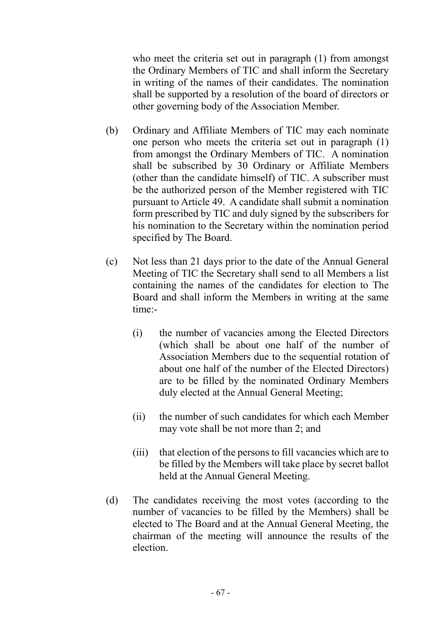who meet the criteria set out in paragraph (1) from amongst the Ordinary Members of TIC and shall inform the Secretary in writing of the names of their candidates. The nomination shall be supported by a resolution of the board of directors or other governing body of the Association Member.

- (b) Ordinary and Affiliate Members of TIC may each nominate one person who meets the criteria set out in paragraph (1) from amongst the Ordinary Members of TIC. A nomination shall be subscribed by 30 Ordinary or Affiliate Members (other than the candidate himself) of TIC. A subscriber must be the authorized person of the Member registered with TIC pursuant to Article 49. A candidate shall submit a nomination form prescribed by TIC and duly signed by the subscribers for his nomination to the Secretary within the nomination period specified by The Board.
- (c) Not less than 21 days prior to the date of the Annual General Meeting of TIC the Secretary shall send to all Members a list containing the names of the candidates for election to The Board and shall inform the Members in writing at the same time:-
	- (i) the number of vacancies among the Elected Directors (which shall be about one half of the number of Association Members due to the sequential rotation of about one half of the number of the Elected Directors) are to be filled by the nominated Ordinary Members duly elected at the Annual General Meeting;
	- (ii) the number of such candidates for which each Member may vote shall be not more than 2; and
	- (iii) that election of the persons to fill vacancies which are to be filled by the Members will take place by secret ballot held at the Annual General Meeting.
- (d) The candidates receiving the most votes (according to the number of vacancies to be filled by the Members) shall be elected to The Board and at the Annual General Meeting, the chairman of the meeting will announce the results of the election.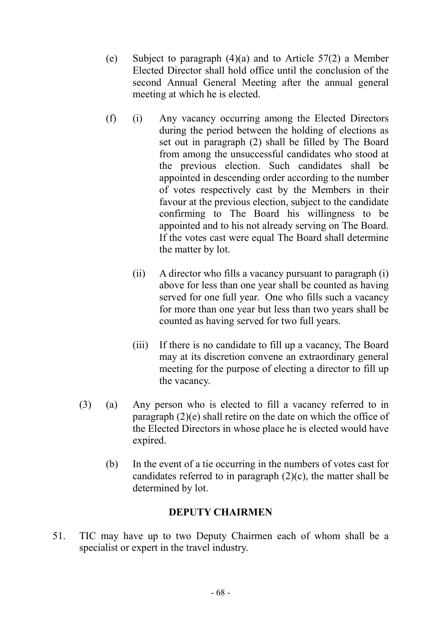- (e) Subject to paragraph (4)(a) and to Article 57(2) a Member Elected Director shall hold office until the conclusion of the second Annual General Meeting after the annual general meeting at which he is elected.
- (f) (i) Any vacancy occurring among the Elected Directors during the period between the holding of elections as set out in paragraph (2) shall be filled by The Board from among the unsuccessful candidates who stood at the previous election. Such candidates shall be appointed in descending order according to the number of votes respectively cast by the Members in their favour at the previous election, subject to the candidate confirming to The Board his willingness to be appointed and to his not already serving on The Board. If the votes cast were equal The Board shall determine the matter by lot.
	- (ii) A director who fills a vacancy pursuant to paragraph (i) above for less than one year shall be counted as having served for one full year. One who fills such a vacancy for more than one year but less than two years shall be counted as having served for two full years.
	- (iii) If there is no candidate to fill up a vacancy, The Board may at its discretion convene an extraordinary general meeting for the purpose of electing a director to fill up the vacancy.
- (3) (a) Any person who is elected to fill a vacancy referred to in paragraph (2)(e) shall retire on the date on which the office of the Elected Directors in whose place he is elected would have expired.
	- (b) In the event of a tie occurring in the numbers of votes cast for candidates referred to in paragraph (2)(c), the matter shall be determined by lot.

## DEPUTY CHAIRMEN

51. TIC may have up to two Deputy Chairmen each of whom shall be a specialist or expert in the travel industry.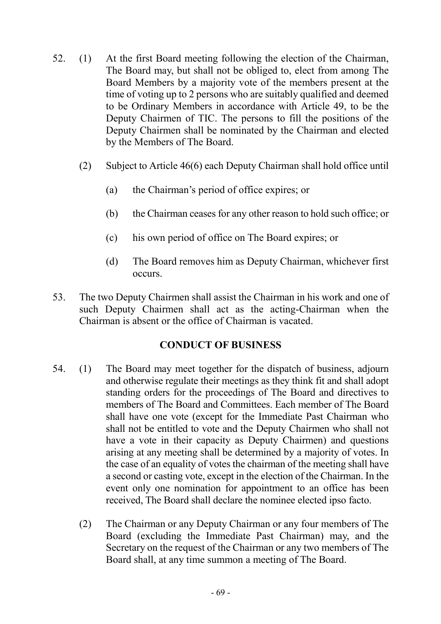- 52. (1) At the first Board meeting following the election of the Chairman, The Board may, but shall not be obliged to, elect from among The Board Members by a majority vote of the members present at the time of voting up to 2 persons who are suitably qualified and deemed to be Ordinary Members in accordance with Article 49, to be the Deputy Chairmen of TIC. The persons to fill the positions of the Deputy Chairmen shall be nominated by the Chairman and elected by the Members of The Board.
	- (2) Subject to Article 46(6) each Deputy Chairman shall hold office until
		- (a) the Chairman's period of office expires; or
		- (b) the Chairman ceases for any other reason to hold such office; or
		- (c) his own period of office on The Board expires; or
		- (d) The Board removes him as Deputy Chairman, whichever first occurs.
- 53. The two Deputy Chairmen shall assist the Chairman in his work and one of such Deputy Chairmen shall act as the acting-Chairman when the Chairman is absent or the office of Chairman is vacated.

## CONDUCT OF BUSINESS

- 54. (1) The Board may meet together for the dispatch of business, adjourn and otherwise regulate their meetings as they think fit and shall adopt standing orders for the proceedings of The Board and directives to members of The Board and Committees. Each member of The Board shall have one vote (except for the Immediate Past Chairman who shall not be entitled to vote and the Deputy Chairmen who shall not have a vote in their capacity as Deputy Chairmen) and questions arising at any meeting shall be determined by a majority of votes. In the case of an equality of votes the chairman of the meeting shall have a second or casting vote, except in the election of the Chairman. In the event only one nomination for appointment to an office has been received, The Board shall declare the nominee elected ipso facto.
	- (2) The Chairman or any Deputy Chairman or any four members of The Board (excluding the Immediate Past Chairman) may, and the Secretary on the request of the Chairman or any two members of The Board shall, at any time summon a meeting of The Board.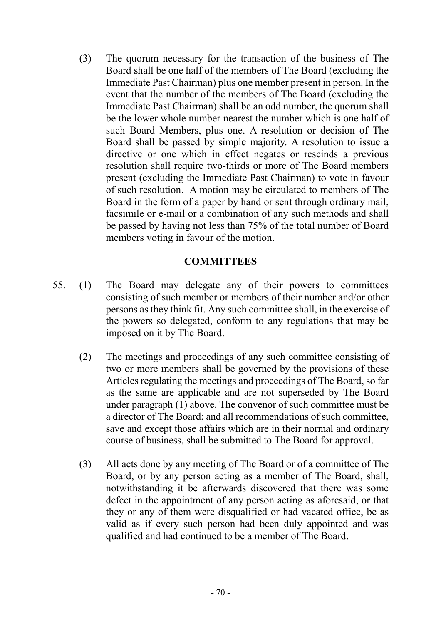(3) The quorum necessary for the transaction of the business of The Board shall be one half of the members of The Board (excluding the Immediate Past Chairman) plus one member present in person. In the event that the number of the members of The Board (excluding the Immediate Past Chairman) shall be an odd number, the quorum shall be the lower whole number nearest the number which is one half of such Board Members, plus one. A resolution or decision of The Board shall be passed by simple majority. A resolution to issue a directive or one which in effect negates or rescinds a previous resolution shall require two-thirds or more of The Board members present (excluding the Immediate Past Chairman) to vote in favour of such resolution. A motion may be circulated to members of The Board in the form of a paper by hand or sent through ordinary mail, facsimile or e-mail or a combination of any such methods and shall be passed by having not less than 75% of the total number of Board members voting in favour of the motion.

#### **COMMITTEES**

- 55. (1) The Board may delegate any of their powers to committees consisting of such member or members of their number and/or other persons as they think fit. Any such committee shall, in the exercise of the powers so delegated, conform to any regulations that may be imposed on it by The Board.
	- (2) The meetings and proceedings of any such committee consisting of two or more members shall be governed by the provisions of these Articles regulating the meetings and proceedings of The Board, so far as the same are applicable and are not superseded by The Board under paragraph (1) above. The convenor of such committee must be a director of The Board; and all recommendations of such committee, save and except those affairs which are in their normal and ordinary course of business, shall be submitted to The Board for approval.
	- (3) All acts done by any meeting of The Board or of a committee of The Board, or by any person acting as a member of The Board, shall, notwithstanding it be afterwards discovered that there was some defect in the appointment of any person acting as aforesaid, or that they or any of them were disqualified or had vacated office, be as valid as if every such person had been duly appointed and was qualified and had continued to be a member of The Board.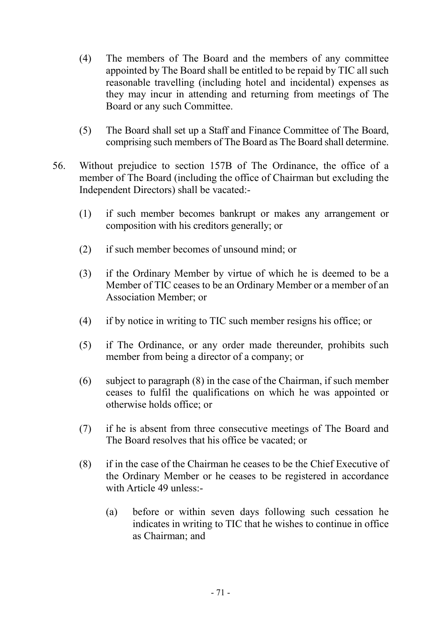- (4) The members of The Board and the members of any committee appointed by The Board shall be entitled to be repaid by TIC all such reasonable travelling (including hotel and incidental) expenses as they may incur in attending and returning from meetings of The Board or any such Committee.
- (5) The Board shall set up a Staff and Finance Committee of The Board, comprising such members of The Board as The Board shall determine.
- 56. Without prejudice to section 157B of The Ordinance, the office of a member of The Board (including the office of Chairman but excluding the Independent Directors) shall be vacated:-
	- (1) if such member becomes bankrupt or makes any arrangement or composition with his creditors generally; or
	- (2) if such member becomes of unsound mind; or
	- (3) if the Ordinary Member by virtue of which he is deemed to be a Member of TIC ceases to be an Ordinary Member or a member of an Association Member; or
	- (4) if by notice in writing to TIC such member resigns his office; or
	- (5) if The Ordinance, or any order made thereunder, prohibits such member from being a director of a company; or
	- (6) subject to paragraph (8) in the case of the Chairman, if such member ceases to fulfil the qualifications on which he was appointed or otherwise holds office; or
	- (7) if he is absent from three consecutive meetings of The Board and The Board resolves that his office be vacated; or
	- (8) if in the case of the Chairman he ceases to be the Chief Executive of the Ordinary Member or he ceases to be registered in accordance with Article 49 unless:-
		- (a) before or within seven days following such cessation he indicates in writing to TIC that he wishes to continue in office as Chairman; and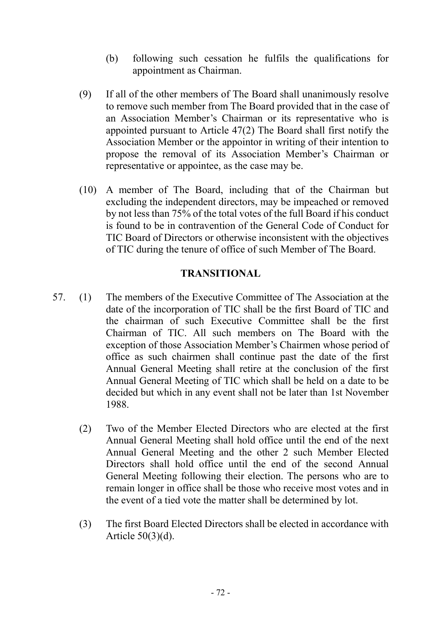- (b) following such cessation he fulfils the qualifications for appointment as Chairman.
- (9) If all of the other members of The Board shall unanimously resolve to remove such member from The Board provided that in the case of an Association Member's Chairman or its representative who is appointed pursuant to Article 47(2) The Board shall first notify the Association Member or the appointor in writing of their intention to propose the removal of its Association Member's Chairman or representative or appointee, as the case may be.
- (10) A member of The Board, including that of the Chairman but excluding the independent directors, may be impeached or removed by not less than 75% of the total votes of the full Board if his conduct is found to be in contravention of the General Code of Conduct for TIC Board of Directors or otherwise inconsistent with the objectives of TIC during the tenure of office of such Member of The Board.

# TRANSITIONAL

- 57. (1) The members of the Executive Committee of The Association at the date of the incorporation of TIC shall be the first Board of TIC and the chairman of such Executive Committee shall be the first Chairman of TIC. All such members on The Board with the exception of those Association Member's Chairmen whose period of office as such chairmen shall continue past the date of the first Annual General Meeting shall retire at the conclusion of the first Annual General Meeting of TIC which shall be held on a date to be decided but which in any event shall not be later than 1st November 1988.
	- (2) Two of the Member Elected Directors who are elected at the first Annual General Meeting shall hold office until the end of the next Annual General Meeting and the other 2 such Member Elected Directors shall hold office until the end of the second Annual General Meeting following their election. The persons who are to remain longer in office shall be those who receive most votes and in the event of a tied vote the matter shall be determined by lot.
	- (3) The first Board Elected Directors shall be elected in accordance with Article 50(3)(d).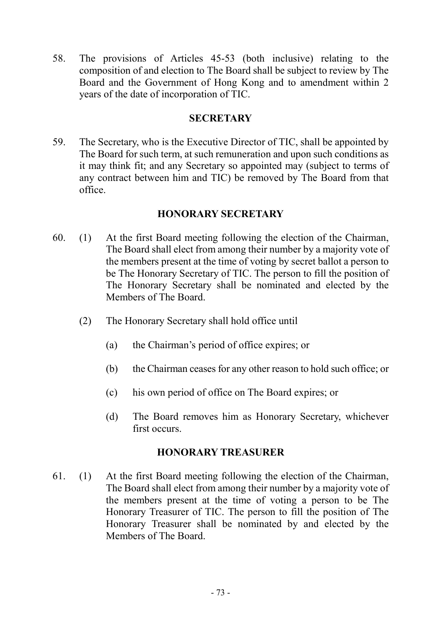58. The provisions of Articles 45-53 (both inclusive) relating to the composition of and election to The Board shall be subject to review by The Board and the Government of Hong Kong and to amendment within 2 years of the date of incorporation of TIC.

### **SECRETARY**

59. The Secretary, who is the Executive Director of TIC, shall be appointed by The Board for such term, at such remuneration and upon such conditions as it may think fit; and any Secretary so appointed may (subject to terms of any contract between him and TIC) be removed by The Board from that office.

# HONORARY SECRETARY

- 60. (1) At the first Board meeting following the election of the Chairman, The Board shall elect from among their number by a majority vote of the members present at the time of voting by secret ballot a person to be The Honorary Secretary of TIC. The person to fill the position of The Honorary Secretary shall be nominated and elected by the Members of The Board.
	- (2) The Honorary Secretary shall hold office until
		- (a) the Chairman's period of office expires; or
		- (b) the Chairman ceases for any other reason to hold such office; or
		- (c) his own period of office on The Board expires; or
		- (d) The Board removes him as Honorary Secretary, whichever first occurs.

### HONORARY TREASURER

61. (1) At the first Board meeting following the election of the Chairman, The Board shall elect from among their number by a majority vote of the members present at the time of voting a person to be The Honorary Treasurer of TIC. The person to fill the position of The Honorary Treasurer shall be nominated by and elected by the Members of The Board.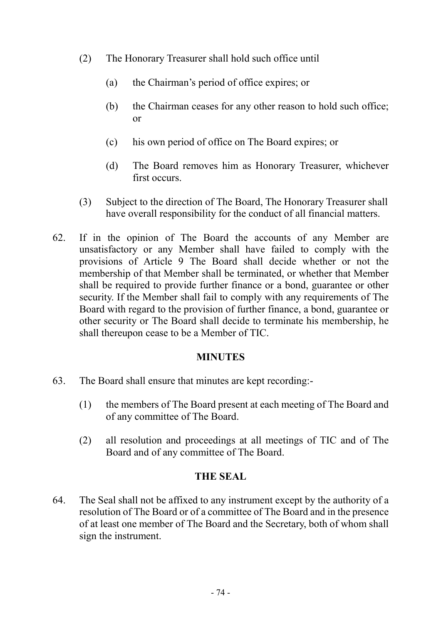- (2) The Honorary Treasurer shall hold such office until
	- (a) the Chairman's period of office expires; or
	- (b) the Chairman ceases for any other reason to hold such office; or
	- (c) his own period of office on The Board expires; or
	- (d) The Board removes him as Honorary Treasurer, whichever first occurs.
- (3) Subject to the direction of The Board, The Honorary Treasurer shall have overall responsibility for the conduct of all financial matters.
- 62. If in the opinion of The Board the accounts of any Member are unsatisfactory or any Member shall have failed to comply with the provisions of Article 9 The Board shall decide whether or not the membership of that Member shall be terminated, or whether that Member shall be required to provide further finance or a bond, guarantee or other security. If the Member shall fail to comply with any requirements of The Board with regard to the provision of further finance, a bond, guarantee or other security or The Board shall decide to terminate his membership, he shall thereupon cease to be a Member of TIC.

#### **MINUTES**

- 63. The Board shall ensure that minutes are kept recording:-
	- (1) the members of The Board present at each meeting of The Board and of any committee of The Board.
	- (2) all resolution and proceedings at all meetings of TIC and of The Board and of any committee of The Board.

### THE SEAL

64. The Seal shall not be affixed to any instrument except by the authority of a resolution of The Board or of a committee of The Board and in the presence of at least one member of The Board and the Secretary, both of whom shall sign the instrument.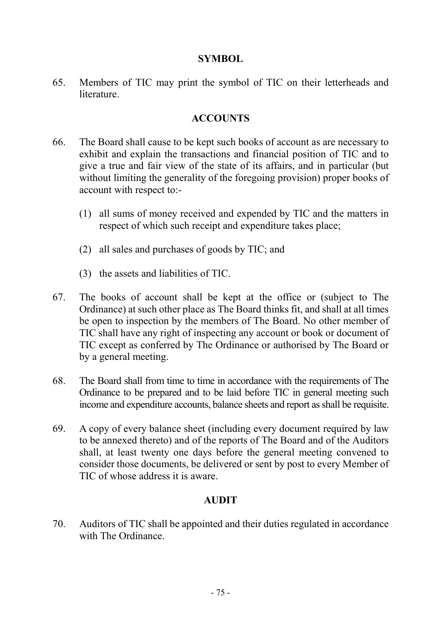### SYMBOL

65. Members of TIC may print the symbol of TIC on their letterheads and **literature** 

# **ACCOUNTS**

- 66. The Board shall cause to be kept such books of account as are necessary to exhibit and explain the transactions and financial position of TIC and to give a true and fair view of the state of its affairs, and in particular (but without limiting the generality of the foregoing provision) proper books of account with respect to:-
	- (1) all sums of money received and expended by TIC and the matters in respect of which such receipt and expenditure takes place;
	- (2) all sales and purchases of goods by TIC; and
	- (3) the assets and liabilities of TIC.
- 67. The books of account shall be kept at the office or (subject to The Ordinance) at such other place as The Board thinks fit, and shall at all times be open to inspection by the members of The Board. No other member of TIC shall have any right of inspecting any account or book or document of TIC except as conferred by The Ordinance or authorised by The Board or by a general meeting.
- 68. The Board shall from time to time in accordance with the requirements of The Ordinance to be prepared and to be laid before TIC in general meeting such income and expenditure accounts, balance sheets and report as shall be requisite.
- 69. A copy of every balance sheet (including every document required by law to be annexed thereto) and of the reports of The Board and of the Auditors shall, at least twenty one days before the general meeting convened to consider those documents, be delivered or sent by post to every Member of TIC of whose address it is aware.

# AUDIT

70. Auditors of TIC shall be appointed and their duties regulated in accordance with The Ordinance.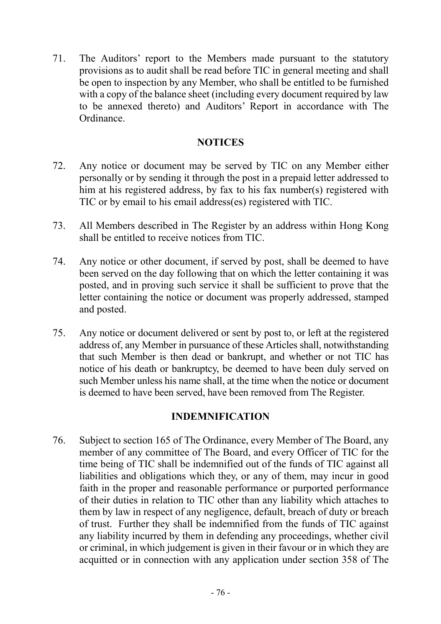71. The Auditors' report to the Members made pursuant to the statutory provisions as to audit shall be read before TIC in general meeting and shall be open to inspection by any Member, who shall be entitled to be furnished with a copy of the balance sheet (including every document required by law to be annexed thereto) and Auditors' Report in accordance with The Ordinance.

### **NOTICES**

- 72. Any notice or document may be served by TIC on any Member either personally or by sending it through the post in a prepaid letter addressed to him at his registered address, by fax to his fax number(s) registered with TIC or by email to his email address(es) registered with TIC.
- 73. All Members described in The Register by an address within Hong Kong shall be entitled to receive notices from TIC.
- 74. Any notice or other document, if served by post, shall be deemed to have been served on the day following that on which the letter containing it was posted, and in proving such service it shall be sufficient to prove that the letter containing the notice or document was properly addressed, stamped and posted.
- 75. Any notice or document delivered or sent by post to, or left at the registered address of, any Member in pursuance of these Articles shall, notwithstanding that such Member is then dead or bankrupt, and whether or not TIC has notice of his death or bankruptcy, be deemed to have been duly served on such Member unless his name shall, at the time when the notice or document is deemed to have been served, have been removed from The Register.

# INDEMNIFICATION

76. Subject to section 165 of The Ordinance, every Member of The Board, any member of any committee of The Board, and every Officer of TIC for the time being of TIC shall be indemnified out of the funds of TIC against all liabilities and obligations which they, or any of them, may incur in good faith in the proper and reasonable performance or purported performance of their duties in relation to TIC other than any liability which attaches to them by law in respect of any negligence, default, breach of duty or breach of trust. Further they shall be indemnified from the funds of TIC against any liability incurred by them in defending any proceedings, whether civil or criminal, in which judgement is given in their favour or in which they are acquitted or in connection with any application under section 358 of The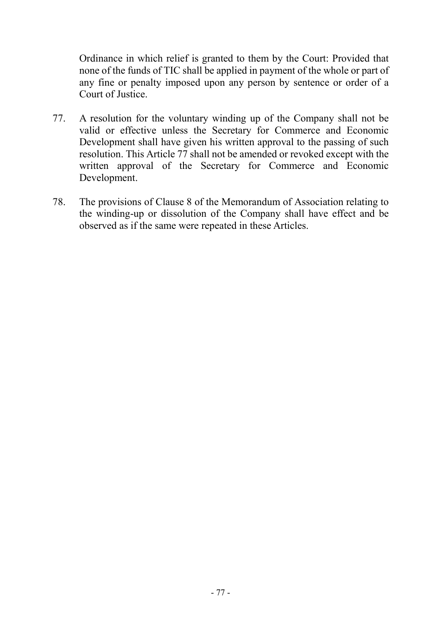Ordinance in which relief is granted to them by the Court: Provided that none of the funds of TIC shall be applied in payment of the whole or part of any fine or penalty imposed upon any person by sentence or order of a Court of Justice.

- 77. A resolution for the voluntary winding up of the Company shall not be valid or effective unless the Secretary for Commerce and Economic Development shall have given his written approval to the passing of such resolution. This Article 77 shall not be amended or revoked except with the written approval of the Secretary for Commerce and Economic Development.
- 78. The provisions of Clause 8 of the Memorandum of Association relating to the winding-up or dissolution of the Company shall have effect and be observed as if the same were repeated in these Articles.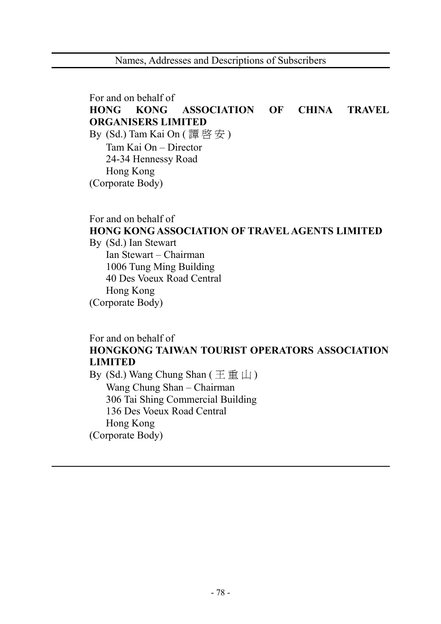For and on behalf of HONG KONG ASSOCIATION OF CHINA TRAVEL ORGANISERS LIMITED By  $(Sd.)$  Tam Kai On  $(\overline{\mathbb{F}} \mathbb{F} \mathbb{F} \mathbb{F})$  Tam Kai On – Director 24-34 Hennessy Road Hong Kong (Corporate Body)

For and on behalf of HONG KONG ASSOCIATION OF TRAVEL AGENTS LIMITED By (Sd.) Ian Stewart Ian Stewart – Chairman 1006 Tung Ming Building 40 Des Voeux Road Central Hong Kong (Corporate Body)

# For and on behalf of HONGKONG TAIWAN TOURIST OPERATORS ASSOCIATION LIMITED

By (Sd.) Wang Chung Shan ( 王 重 山 ) Wang Chung Shan – Chairman 306 Tai Shing Commercial Building 136 Des Voeux Road Central Hong Kong (Corporate Body)